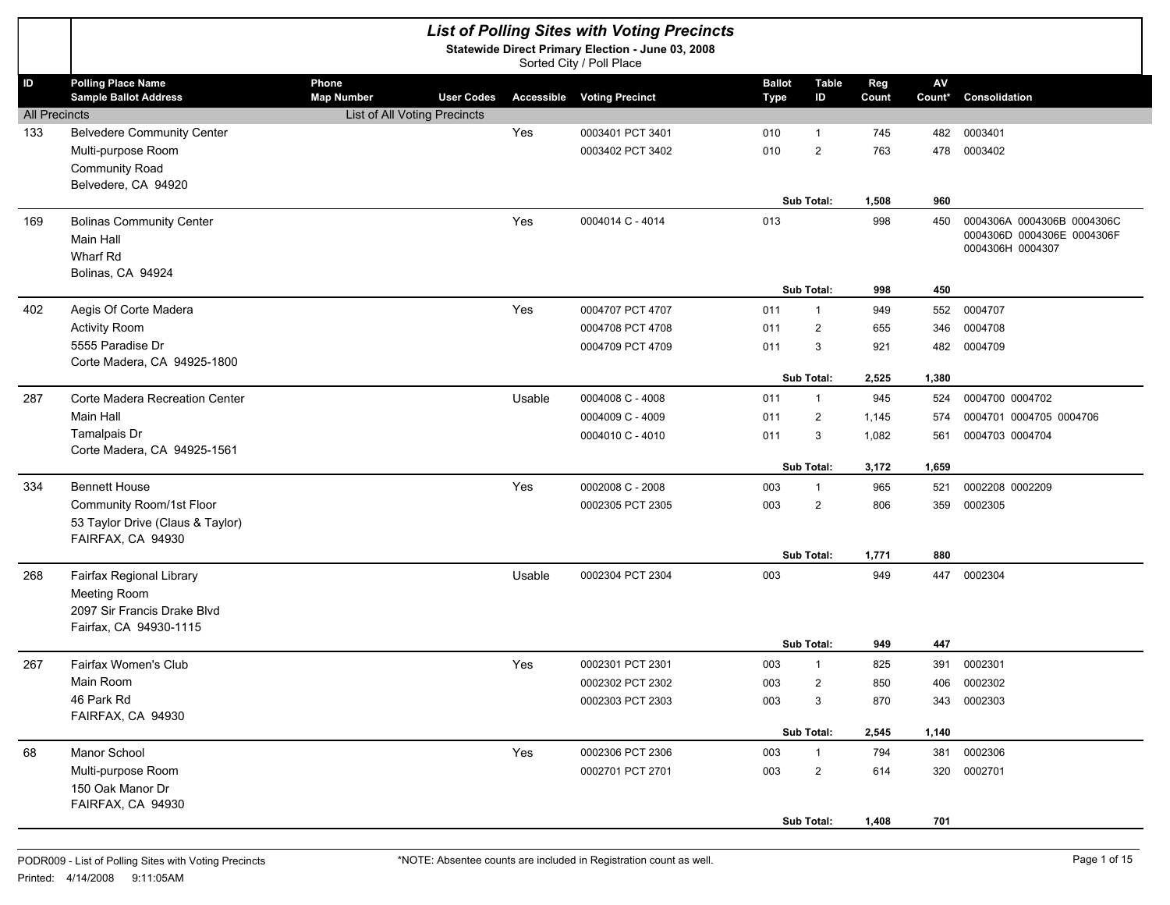|                      |                                                           |                              |                   | <b>List of Polling Sites with Voting Precincts</b><br>Statewide Direct Primary Election - June 03, 2008<br>Sorted City / Poll Place |                       |                    |              |              |                                                          |
|----------------------|-----------------------------------------------------------|------------------------------|-------------------|-------------------------------------------------------------------------------------------------------------------------------------|-----------------------|--------------------|--------------|--------------|----------------------------------------------------------|
| ID                   | <b>Polling Place Name</b><br><b>Sample Ballot Address</b> | Phone<br><b>Map Number</b>   | <b>User Codes</b> | <b>Accessible Voting Precinct</b>                                                                                                   | <b>Ballot</b><br>Type | <b>Table</b><br>ID | Reg<br>Count | AV<br>Count* | Consolidation                                            |
| <b>All Precincts</b> |                                                           | List of All Voting Precincts |                   |                                                                                                                                     |                       |                    |              |              |                                                          |
| 133                  | <b>Belvedere Community Center</b>                         |                              | Yes               | 0003401 PCT 3401                                                                                                                    | 010                   | $\mathbf{1}$       | 745          | 482          | 0003401                                                  |
|                      | Multi-purpose Room                                        |                              |                   | 0003402 PCT 3402                                                                                                                    | 010                   | 2                  | 763          | 478          | 0003402                                                  |
|                      | Community Road                                            |                              |                   |                                                                                                                                     |                       |                    |              |              |                                                          |
|                      | Belvedere, CA 94920                                       |                              |                   |                                                                                                                                     |                       |                    |              |              |                                                          |
|                      |                                                           |                              |                   | 0004014 C - 4014                                                                                                                    |                       | Sub Total:         | 1,508        | 960          |                                                          |
| 169                  | <b>Bolinas Community Center</b><br>Main Hall              |                              | Yes               |                                                                                                                                     | 013                   |                    | 998          | 450          | 0004306A 0004306B 0004306C<br>0004306D 0004306E 0004306F |
|                      | Wharf Rd                                                  |                              |                   |                                                                                                                                     |                       |                    |              |              | 0004306H 0004307                                         |
|                      | Bolinas, CA 94924                                         |                              |                   |                                                                                                                                     |                       |                    |              |              |                                                          |
|                      |                                                           |                              |                   |                                                                                                                                     |                       | Sub Total:         | 998          | 450          |                                                          |
| 402                  | Aegis Of Corte Madera                                     |                              | Yes               | 0004707 PCT 4707                                                                                                                    | 011                   | $\mathbf{1}$       | 949          | 552          | 0004707                                                  |
|                      | <b>Activity Room</b>                                      |                              |                   | 0004708 PCT 4708                                                                                                                    | 011                   | 2                  | 655          | 346          | 0004708                                                  |
|                      | 5555 Paradise Dr                                          |                              |                   | 0004709 PCT 4709                                                                                                                    | 011                   | 3                  | 921          | 482          | 0004709                                                  |
|                      | Corte Madera, CA 94925-1800                               |                              |                   |                                                                                                                                     |                       | Sub Total:         | 2,525        | 1,380        |                                                          |
| 287                  | Corte Madera Recreation Center                            |                              | Usable            | 0004008 C - 4008                                                                                                                    | 011                   | $\mathbf{1}$       | 945          | 524          | 0004700 0004702                                          |
|                      | Main Hall                                                 |                              |                   | 0004009 C - 4009                                                                                                                    | 011                   | $\overline{2}$     | 1,145        | 574          | 0004701 0004705 0004706                                  |
|                      | Tamalpais Dr                                              |                              |                   | 0004010 C - 4010                                                                                                                    | 011                   | 3                  | 1,082        | 561          | 0004703 0004704                                          |
|                      | Corte Madera, CA 94925-1561                               |                              |                   |                                                                                                                                     |                       |                    |              |              |                                                          |
|                      |                                                           |                              |                   |                                                                                                                                     |                       | Sub Total:         | 3,172        | 1,659        |                                                          |
| 334                  | <b>Bennett House</b>                                      |                              | Yes               | 0002008 C - 2008                                                                                                                    | 003                   | $\mathbf{1}$       | 965          | 521          | 0002208 0002209                                          |
|                      | Community Room/1st Floor                                  |                              |                   | 0002305 PCT 2305                                                                                                                    | 003                   | 2                  | 806          | 359          | 0002305                                                  |
|                      | 53 Taylor Drive (Claus & Taylor)                          |                              |                   |                                                                                                                                     |                       |                    |              |              |                                                          |
|                      | FAIRFAX, CA 94930                                         |                              |                   |                                                                                                                                     |                       | Sub Total:         | 1,771        | 880          |                                                          |
| 268                  | Fairfax Regional Library                                  |                              | Usable            | 0002304 PCT 2304                                                                                                                    | 003                   |                    | 949          | 447          | 0002304                                                  |
|                      | Meeting Room                                              |                              |                   |                                                                                                                                     |                       |                    |              |              |                                                          |
|                      | 2097 Sir Francis Drake Blvd                               |                              |                   |                                                                                                                                     |                       |                    |              |              |                                                          |
|                      | Fairfax, CA 94930-1115                                    |                              |                   |                                                                                                                                     |                       |                    |              |              |                                                          |
|                      |                                                           |                              |                   |                                                                                                                                     |                       | Sub Total:         | 949          | 447          |                                                          |
| 267                  | Fairfax Women's Club                                      |                              | Yes               | 0002301 PCT 2301                                                                                                                    | 003                   | -1                 | 825          | 391          | 0002301                                                  |
|                      | Main Room                                                 |                              |                   | 0002302 PCT 2302                                                                                                                    | 003                   | $\overline{c}$     | 850          | 406          | 0002302                                                  |
|                      | 46 Park Rd<br>FAIRFAX, CA 94930                           |                              |                   | 0002303 PCT 2303                                                                                                                    | 003                   | 3                  | 870          | 343          | 0002303                                                  |
|                      |                                                           |                              |                   |                                                                                                                                     |                       | Sub Total:         | 2,545        | 1,140        |                                                          |
| 68                   | Manor School                                              |                              | Yes               | 0002306 PCT 2306                                                                                                                    | 003                   | $\mathbf{1}$       | 794          | 381          | 0002306                                                  |
|                      | Multi-purpose Room                                        |                              |                   | 0002701 PCT 2701                                                                                                                    | 003                   | $\overline{2}$     | 614          | 320          | 0002701                                                  |
|                      | 150 Oak Manor Dr                                          |                              |                   |                                                                                                                                     |                       |                    |              |              |                                                          |
|                      | FAIRFAX, CA 94930                                         |                              |                   |                                                                                                                                     |                       |                    |              |              |                                                          |
|                      |                                                           |                              |                   |                                                                                                                                     |                       | Sub Total:         | 1,408        | 701          |                                                          |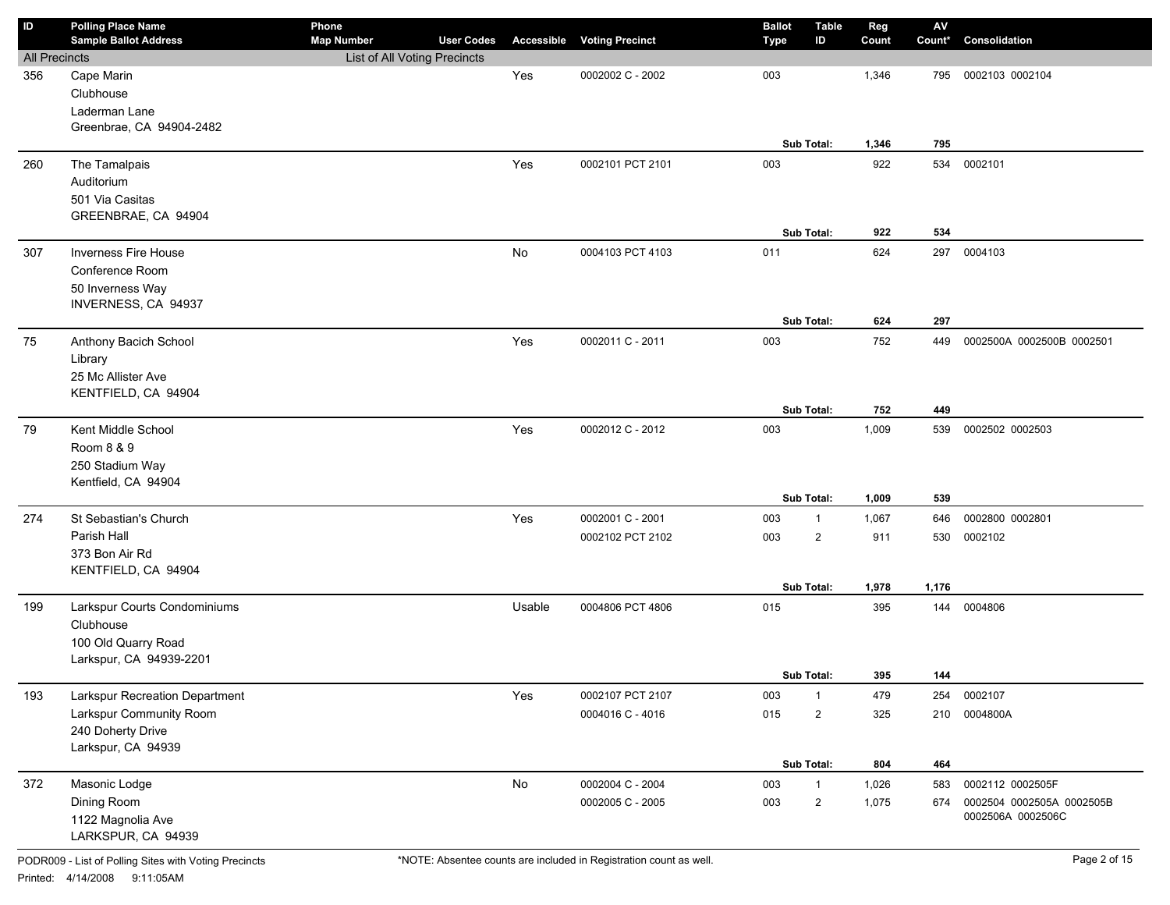| ID                          | <b>Polling Place Name</b><br><b>Sample Ballot Address</b> | Phone                        | <b>User Codes</b> |                   |                        | <b>Ballot</b> | <b>Table</b><br>ID | Reg   | $\mathsf{A}\mathsf{V}$<br>Count* | Consolidation             |
|-----------------------------|-----------------------------------------------------------|------------------------------|-------------------|-------------------|------------------------|---------------|--------------------|-------|----------------------------------|---------------------------|
|                             |                                                           | <b>Map Number</b>            |                   | <b>Accessible</b> | <b>Voting Precinct</b> | Type          |                    | Count |                                  |                           |
| <b>All Precincts</b><br>356 |                                                           | List of All Voting Precincts |                   | Yes               | 0002002 C - 2002       | 003           |                    | 1,346 | 795                              | 0002103 0002104           |
|                             | Cape Marin<br>Clubhouse                                   |                              |                   |                   |                        |               |                    |       |                                  |                           |
|                             | Laderman Lane                                             |                              |                   |                   |                        |               |                    |       |                                  |                           |
|                             | Greenbrae, CA 94904-2482                                  |                              |                   |                   |                        |               |                    |       |                                  |                           |
|                             |                                                           |                              |                   |                   |                        |               | Sub Total:         | 1,346 | 795                              |                           |
| 260                         | The Tamalpais                                             |                              |                   | Yes               | 0002101 PCT 2101       | 003           |                    | 922   | 534                              | 0002101                   |
|                             | Auditorium                                                |                              |                   |                   |                        |               |                    |       |                                  |                           |
|                             | 501 Via Casitas                                           |                              |                   |                   |                        |               |                    |       |                                  |                           |
|                             | GREENBRAE, CA 94904                                       |                              |                   |                   |                        |               |                    |       |                                  |                           |
|                             |                                                           |                              |                   |                   |                        |               | Sub Total:         | 922   | 534                              |                           |
| 307                         | <b>Inverness Fire House</b>                               |                              |                   | No                | 0004103 PCT 4103       | 011           |                    | 624   | 297                              | 0004103                   |
|                             | Conference Room                                           |                              |                   |                   |                        |               |                    |       |                                  |                           |
|                             | 50 Inverness Way                                          |                              |                   |                   |                        |               |                    |       |                                  |                           |
|                             | INVERNESS, CA 94937                                       |                              |                   |                   |                        |               |                    |       |                                  |                           |
|                             |                                                           |                              |                   |                   |                        |               | Sub Total:         | 624   | 297                              |                           |
| 75                          | Anthony Bacich School                                     |                              |                   | Yes               | 0002011 C - 2011       | 003           |                    | 752   | 449                              | 0002500A 0002500B 0002501 |
|                             | Library                                                   |                              |                   |                   |                        |               |                    |       |                                  |                           |
|                             | 25 Mc Allister Ave                                        |                              |                   |                   |                        |               |                    |       |                                  |                           |
|                             | KENTFIELD, CA 94904                                       |                              |                   |                   |                        |               |                    |       |                                  |                           |
|                             |                                                           |                              |                   |                   |                        |               | Sub Total:         | 752   | 449                              |                           |
| 79                          | Kent Middle School                                        |                              |                   | Yes               | 0002012 C - 2012       | 003           |                    | 1,009 | 539                              | 0002502 0002503           |
|                             | Room 8 & 9                                                |                              |                   |                   |                        |               |                    |       |                                  |                           |
|                             | 250 Stadium Way                                           |                              |                   |                   |                        |               |                    |       |                                  |                           |
|                             | Kentfield, CA 94904                                       |                              |                   |                   |                        |               |                    |       |                                  |                           |
|                             |                                                           |                              |                   |                   |                        |               | Sub Total:         | 1,009 | 539                              |                           |
| 274                         | St Sebastian's Church                                     |                              |                   | Yes               | 0002001 C - 2001       | 003           | $\mathbf{1}$       | 1,067 | 646                              | 0002800 0002801           |
|                             | Parish Hall                                               |                              |                   |                   | 0002102 PCT 2102       | 003           | $\overline{2}$     | 911   | 530                              | 0002102                   |
|                             | 373 Bon Air Rd                                            |                              |                   |                   |                        |               |                    |       |                                  |                           |
|                             | KENTFIELD, CA 94904                                       |                              |                   |                   |                        |               |                    |       |                                  |                           |
|                             |                                                           |                              |                   |                   |                        |               | Sub Total:         | 1,978 | 1,176                            |                           |
| 199                         | Larkspur Courts Condominiums                              |                              |                   | Usable            | 0004806 PCT 4806       | 015           |                    | 395   | 144                              | 0004806                   |
|                             | Clubhouse                                                 |                              |                   |                   |                        |               |                    |       |                                  |                           |
|                             | 100 Old Quarry Road                                       |                              |                   |                   |                        |               |                    |       |                                  |                           |
|                             | Larkspur, CA 94939-2201                                   |                              |                   |                   |                        |               |                    |       |                                  |                           |
|                             |                                                           |                              |                   |                   |                        |               | Sub Total:         | 395   | 144                              |                           |
| 193                         | Larkspur Recreation Department                            |                              |                   | Yes               | 0002107 PCT 2107       | 003           | $\mathbf{1}$       | 479   | 254                              | 0002107                   |
|                             | Larkspur Community Room                                   |                              |                   |                   | 0004016 C - 4016       | 015           | $\overline{2}$     | 325   | 210                              | 0004800A                  |
|                             | 240 Doherty Drive                                         |                              |                   |                   |                        |               |                    |       |                                  |                           |
|                             | Larkspur, CA 94939                                        |                              |                   |                   |                        |               |                    |       |                                  |                           |
|                             |                                                           |                              |                   |                   |                        |               | Sub Total:         | 804   | 464                              |                           |
| 372                         | Masonic Lodge                                             |                              |                   | No                | 0002004 C - 2004       | 003           | $\mathbf{1}$       | 1,026 | 583                              | 0002112 0002505F          |
|                             | Dining Room                                               |                              |                   |                   | 0002005 C - 2005       | 003           | $\overline{c}$     | 1,075 | 674                              | 0002504 0002505A 0002505B |
|                             | 1122 Magnolia Ave                                         |                              |                   |                   |                        |               |                    |       |                                  | 0002506A 0002506C         |
|                             | LARKSPUR, CA 94939                                        |                              |                   |                   |                        |               |                    |       |                                  |                           |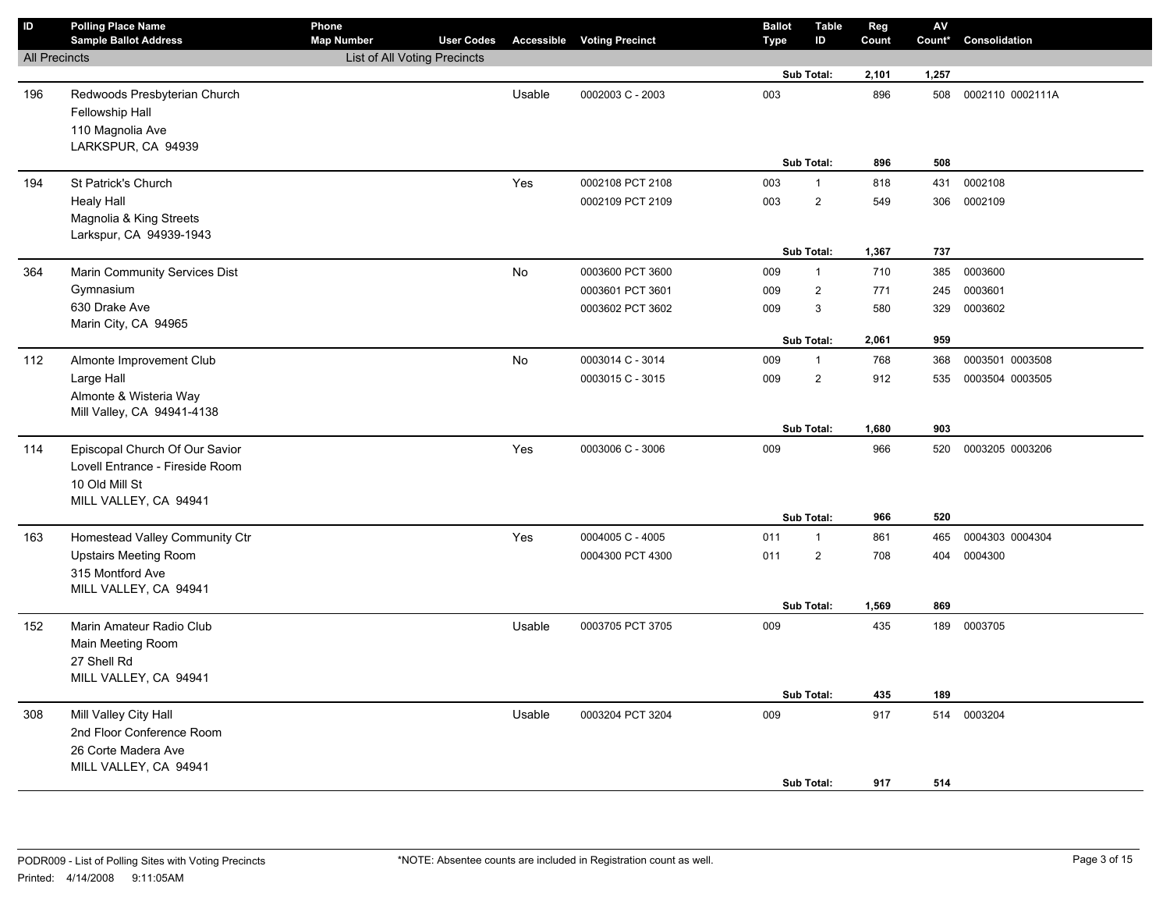| $\mathsf{ID}$        | <b>Polling Place Name</b><br><b>Sample Ballot Address</b>           | Phone<br><b>Map Number</b>          | <b>User Codes</b> |           | <b>Accessible Voting Precinct</b>    | <b>Ballot</b><br>Type | <b>Table</b><br>ID             | Reg<br>Count | AV<br>Count* | Consolidation      |
|----------------------|---------------------------------------------------------------------|-------------------------------------|-------------------|-----------|--------------------------------------|-----------------------|--------------------------------|--------------|--------------|--------------------|
| <b>All Precincts</b> |                                                                     | <b>List of All Voting Precincts</b> |                   |           |                                      |                       |                                |              |              |                    |
|                      |                                                                     |                                     |                   |           |                                      |                       | Sub Total:                     | 2,101        | 1,257        |                    |
| 196                  | Redwoods Presbyterian Church<br>Fellowship Hall<br>110 Magnolia Ave |                                     |                   | Usable    | 0002003 C - 2003                     | 003                   |                                | 896          | 508          | 0002110 0002111A   |
|                      | LARKSPUR, CA 94939                                                  |                                     |                   |           |                                      |                       | Sub Total:                     | 896          | 508          |                    |
|                      |                                                                     |                                     |                   |           |                                      |                       |                                |              |              |                    |
| 194                  | St Patrick's Church                                                 |                                     |                   | Yes       | 0002108 PCT 2108<br>0002109 PCT 2109 | 003<br>003            | $\mathbf{1}$<br>$\overline{2}$ | 818<br>549   | 431<br>306   | 0002108<br>0002109 |
|                      | <b>Healy Hall</b><br>Magnolia & King Streets                        |                                     |                   |           |                                      |                       |                                |              |              |                    |
|                      | Larkspur, CA 94939-1943                                             |                                     |                   |           |                                      |                       |                                |              |              |                    |
|                      |                                                                     |                                     |                   |           |                                      |                       | Sub Total:                     | 1,367        | 737          |                    |
| 364                  | Marin Community Services Dist                                       |                                     |                   | <b>No</b> | 0003600 PCT 3600                     | 009                   | $\mathbf{1}$                   | 710          | 385          | 0003600            |
|                      | Gymnasium                                                           |                                     |                   |           | 0003601 PCT 3601                     | 009                   | $\overline{c}$                 | 771          | 245          | 0003601            |
|                      | 630 Drake Ave                                                       |                                     |                   |           | 0003602 PCT 3602                     | 009                   | 3                              | 580          | 329          | 0003602            |
|                      | Marin City, CA 94965                                                |                                     |                   |           |                                      |                       |                                |              |              |                    |
|                      |                                                                     |                                     |                   |           |                                      |                       | Sub Total:                     | 2,061        | 959          |                    |
| 112                  | Almonte Improvement Club                                            |                                     |                   | No        | 0003014 C - 3014                     | 009                   | $\mathbf{1}$                   | 768          | 368          | 0003501 0003508    |
|                      | Large Hall                                                          |                                     |                   |           | 0003015 C - 3015                     | 009                   | $\overline{2}$                 | 912          | 535          | 0003504 0003505    |
|                      | Almonte & Wisteria Way                                              |                                     |                   |           |                                      |                       |                                |              |              |                    |
|                      | Mill Valley, CA 94941-4138                                          |                                     |                   |           |                                      |                       | Sub Total:                     | 1,680        | 903          |                    |
| 114                  | Episcopal Church Of Our Savior                                      |                                     |                   | Yes       | 0003006 C - 3006                     | 009                   |                                | 966          | 520          | 0003205 0003206    |
|                      | Lovell Entrance - Fireside Room                                     |                                     |                   |           |                                      |                       |                                |              |              |                    |
|                      | 10 Old Mill St                                                      |                                     |                   |           |                                      |                       |                                |              |              |                    |
|                      | MILL VALLEY, CA 94941                                               |                                     |                   |           |                                      |                       |                                |              |              |                    |
|                      |                                                                     |                                     |                   |           |                                      |                       | Sub Total:                     | 966          | 520          |                    |
| 163                  | Homestead Valley Community Ctr                                      |                                     |                   | Yes       | 0004005 C - 4005                     | 011                   | $\mathbf{1}$                   | 861          | 465          | 0004303 0004304    |
|                      | <b>Upstairs Meeting Room</b>                                        |                                     |                   |           | 0004300 PCT 4300                     | 011                   | $\overline{c}$                 | 708          | 404          | 0004300            |
|                      | 315 Montford Ave                                                    |                                     |                   |           |                                      |                       |                                |              |              |                    |
|                      | MILL VALLEY, CA 94941                                               |                                     |                   |           |                                      |                       |                                |              |              |                    |
|                      |                                                                     |                                     |                   |           |                                      |                       | Sub Total:                     | 1,569        | 869          |                    |
| 152                  | Marin Amateur Radio Club                                            |                                     |                   | Usable    | 0003705 PCT 3705                     | 009                   |                                | 435          |              | 189 0003705        |
|                      | Main Meeting Room                                                   |                                     |                   |           |                                      |                       |                                |              |              |                    |
|                      | 27 Shell Rd                                                         |                                     |                   |           |                                      |                       |                                |              |              |                    |
|                      | MILL VALLEY, CA 94941                                               |                                     |                   |           |                                      |                       | Sub Total:                     | 435          | 189          |                    |
| 308                  | Mill Valley City Hall                                               |                                     |                   | Usable    | 0003204 PCT 3204                     | 009                   |                                | 917          | 514          | 0003204            |
|                      | 2nd Floor Conference Room                                           |                                     |                   |           |                                      |                       |                                |              |              |                    |
|                      | 26 Corte Madera Ave                                                 |                                     |                   |           |                                      |                       |                                |              |              |                    |
|                      | MILL VALLEY, CA 94941                                               |                                     |                   |           |                                      |                       |                                |              |              |                    |
|                      |                                                                     |                                     |                   |           |                                      |                       | Sub Total:                     | 917          | 514          |                    |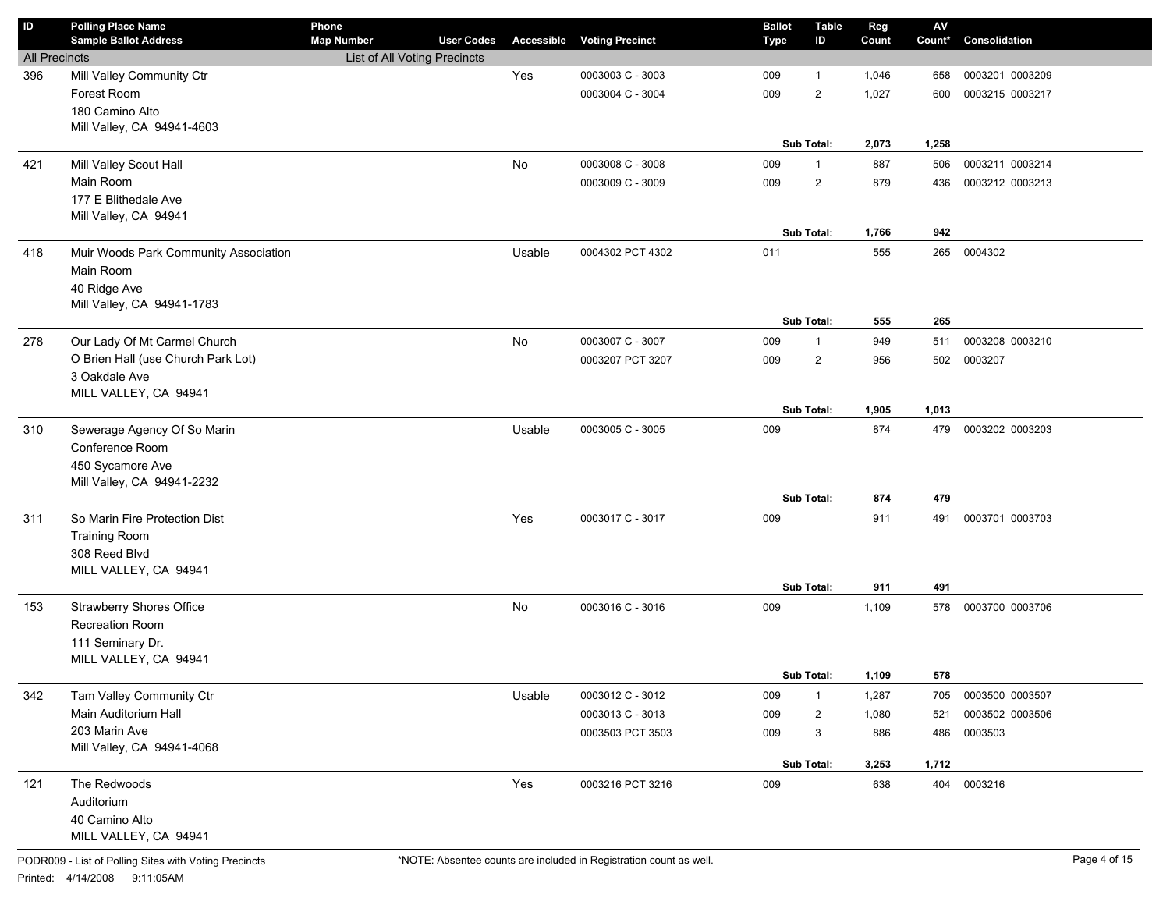| $\sf ID$             | <b>Polling Place Name</b><br><b>Sample Ballot Address</b> | Phone<br><b>Map Number</b>   | <b>User Codes</b> |        | <b>Accessible Voting Precinct</b> | <b>Ballot</b><br><b>Type</b> | <b>Table</b><br>ID | Reg<br>Count | $\mathsf{A}\mathsf{V}$<br>Count* | Consolidation   |
|----------------------|-----------------------------------------------------------|------------------------------|-------------------|--------|-----------------------------------|------------------------------|--------------------|--------------|----------------------------------|-----------------|
| <b>All Precincts</b> |                                                           | List of All Voting Precincts |                   |        |                                   |                              |                    |              |                                  |                 |
| 396                  | Mill Valley Community Ctr                                 |                              |                   | Yes    | 0003003 C - 3003                  | 009                          | $\mathbf{1}$       | 1,046        | 658                              | 0003201 0003209 |
|                      | Forest Room                                               |                              |                   |        | 0003004 C - 3004                  | 009                          | $\overline{2}$     | 1,027        | 600                              | 0003215 0003217 |
|                      | 180 Camino Alto                                           |                              |                   |        |                                   |                              |                    |              |                                  |                 |
|                      | Mill Valley, CA 94941-4603                                |                              |                   |        |                                   |                              |                    |              |                                  |                 |
|                      |                                                           |                              |                   |        |                                   |                              | Sub Total:         | 2,073        | 1,258                            |                 |
| 421                  | Mill Valley Scout Hall                                    |                              |                   | No     | 0003008 C - 3008                  | 009                          | $\mathbf{1}$       | 887          | 506                              | 0003211 0003214 |
|                      | Main Room                                                 |                              |                   |        | 0003009 C - 3009                  | 009                          | $\overline{2}$     | 879          | 436                              | 0003212 0003213 |
|                      | 177 E Blithedale Ave                                      |                              |                   |        |                                   |                              |                    |              |                                  |                 |
|                      | Mill Valley, CA 94941                                     |                              |                   |        |                                   |                              |                    |              |                                  |                 |
|                      |                                                           |                              |                   |        |                                   |                              | Sub Total:         | 1,766        | 942                              |                 |
| 418                  | Muir Woods Park Community Association                     |                              |                   | Usable | 0004302 PCT 4302                  | 011                          |                    | 555          | 265                              | 0004302         |
|                      | Main Room                                                 |                              |                   |        |                                   |                              |                    |              |                                  |                 |
|                      | 40 Ridge Ave                                              |                              |                   |        |                                   |                              |                    |              |                                  |                 |
|                      | Mill Valley, CA 94941-1783                                |                              |                   |        |                                   |                              |                    |              |                                  |                 |
|                      |                                                           |                              |                   |        |                                   |                              | Sub Total:         | 555          | 265                              |                 |
| 278                  | Our Lady Of Mt Carmel Church                              |                              |                   | No     | 0003007 C - 3007                  | 009                          | $\mathbf{1}$       | 949          | 511                              | 0003208 0003210 |
|                      | O Brien Hall (use Church Park Lot)                        |                              |                   |        | 0003207 PCT 3207                  | 009                          | $\overline{2}$     | 956          | 502                              | 0003207         |
|                      | 3 Oakdale Ave                                             |                              |                   |        |                                   |                              |                    |              |                                  |                 |
|                      | MILL VALLEY, CA 94941                                     |                              |                   |        |                                   |                              |                    |              |                                  |                 |
|                      |                                                           |                              |                   |        |                                   |                              | <b>Sub Total:</b>  | 1,905        | 1,013                            |                 |
| 310                  | Sewerage Agency Of So Marin                               |                              |                   | Usable | 0003005 C - 3005                  | 009                          |                    | 874          | 479                              | 0003202 0003203 |
|                      | Conference Room                                           |                              |                   |        |                                   |                              |                    |              |                                  |                 |
|                      | 450 Sycamore Ave<br>Mill Valley, CA 94941-2232            |                              |                   |        |                                   |                              |                    |              |                                  |                 |
|                      |                                                           |                              |                   |        |                                   |                              | Sub Total:         | 874          | 479                              |                 |
| 311                  | So Marin Fire Protection Dist                             |                              |                   | Yes    | 0003017 C - 3017                  | 009                          |                    | 911          | 491                              | 0003701 0003703 |
|                      | <b>Training Room</b>                                      |                              |                   |        |                                   |                              |                    |              |                                  |                 |
|                      | 308 Reed Blvd                                             |                              |                   |        |                                   |                              |                    |              |                                  |                 |
|                      | MILL VALLEY, CA 94941                                     |                              |                   |        |                                   |                              |                    |              |                                  |                 |
|                      |                                                           |                              |                   |        |                                   |                              | Sub Total:         | 911          | 491                              |                 |
| 153                  | <b>Strawberry Shores Office</b>                           |                              |                   | No     | 0003016 C - 3016                  | 009                          |                    | 1,109        | 578                              | 0003700 0003706 |
|                      | Recreation Room                                           |                              |                   |        |                                   |                              |                    |              |                                  |                 |
|                      | 111 Seminary Dr.                                          |                              |                   |        |                                   |                              |                    |              |                                  |                 |
|                      | MILL VALLEY, CA 94941                                     |                              |                   |        |                                   |                              |                    |              |                                  |                 |
|                      |                                                           |                              |                   |        |                                   |                              | Sub Total:         | 1,109        | 578                              |                 |
| 342                  | Tam Valley Community Ctr                                  |                              |                   | Usable | 0003012 C - 3012                  | 009                          | $\mathbf{1}$       | 1,287        | 705                              | 0003500 0003507 |
|                      | Main Auditorium Hall                                      |                              |                   |        | 0003013 C - 3013                  | 009                          | 2                  | 1,080        | 521                              | 0003502 0003506 |
|                      | 203 Marin Ave                                             |                              |                   |        | 0003503 PCT 3503                  | 009                          | 3                  | 886          | 486                              | 0003503         |
|                      | Mill Valley, CA 94941-4068                                |                              |                   |        |                                   |                              |                    |              |                                  |                 |
|                      |                                                           |                              |                   |        |                                   |                              | Sub Total:         | 3,253        | 1,712                            |                 |
| 121                  |                                                           |                              |                   |        |                                   |                              |                    |              |                                  |                 |
|                      | The Redwoods                                              |                              |                   | Yes    | 0003216 PCT 3216                  | 009                          |                    | 638          |                                  | 404 0003216     |
|                      | Auditorium<br>40 Camino Alto                              |                              |                   |        |                                   |                              |                    |              |                                  |                 |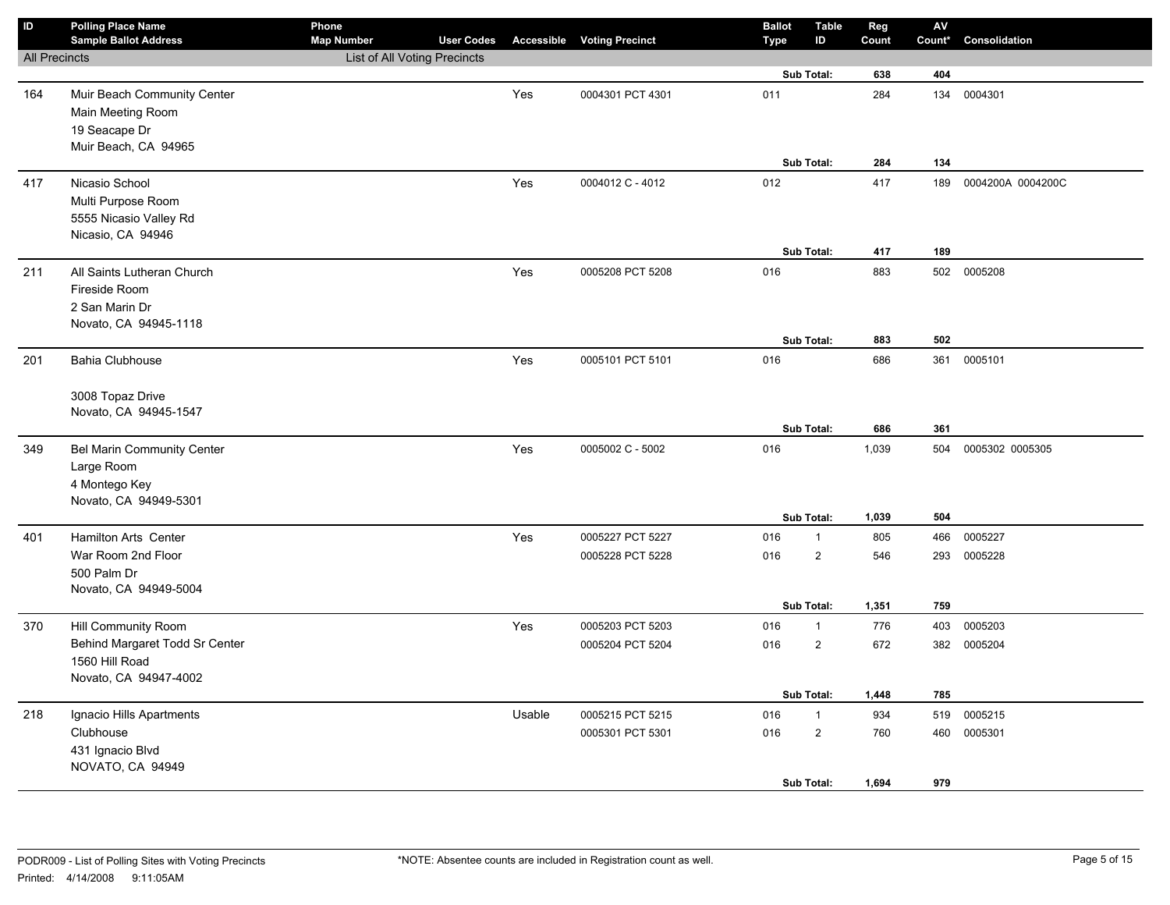| $\sf ID$             | <b>Polling Place Name</b><br><b>Sample Ballot Address</b> | Phone<br><b>Map Number</b>   | <b>User Codes</b> |        | <b>Accessible Voting Precinct</b> | <b>Ballot</b><br><b>Type</b> | <b>Table</b><br>ID | Reg<br>Count | ${\sf AV}$<br>Count* | Consolidation     |
|----------------------|-----------------------------------------------------------|------------------------------|-------------------|--------|-----------------------------------|------------------------------|--------------------|--------------|----------------------|-------------------|
| <b>All Precincts</b> |                                                           | List of All Voting Precincts |                   |        |                                   |                              |                    |              |                      |                   |
|                      |                                                           |                              |                   |        |                                   |                              | Sub Total:         | 638          | 404                  |                   |
| 164                  | Muir Beach Community Center                               |                              |                   | Yes    | 0004301 PCT 4301                  | 011                          |                    | 284          |                      | 134 0004301       |
|                      | Main Meeting Room                                         |                              |                   |        |                                   |                              |                    |              |                      |                   |
|                      | 19 Seacape Dr                                             |                              |                   |        |                                   |                              |                    |              |                      |                   |
|                      | Muir Beach, CA 94965                                      |                              |                   |        |                                   |                              |                    |              |                      |                   |
|                      |                                                           |                              |                   |        |                                   |                              | Sub Total:         | 284          | 134                  |                   |
| 417                  | Nicasio School                                            |                              |                   | Yes    | 0004012 C - 4012                  | 012                          |                    | 417          | 189                  | 0004200A 0004200C |
|                      | Multi Purpose Room                                        |                              |                   |        |                                   |                              |                    |              |                      |                   |
|                      | 5555 Nicasio Valley Rd                                    |                              |                   |        |                                   |                              |                    |              |                      |                   |
|                      | Nicasio, CA 94946                                         |                              |                   |        |                                   |                              | Sub Total:         | 417          | 189                  |                   |
|                      |                                                           |                              |                   |        | 0005208 PCT 5208                  | 016                          |                    | 883          |                      | 502 0005208       |
| 211                  | All Saints Lutheran Church<br>Fireside Room               |                              |                   | Yes    |                                   |                              |                    |              |                      |                   |
|                      | 2 San Marin Dr                                            |                              |                   |        |                                   |                              |                    |              |                      |                   |
|                      | Novato, CA 94945-1118                                     |                              |                   |        |                                   |                              |                    |              |                      |                   |
|                      |                                                           |                              |                   |        |                                   |                              | Sub Total:         | 883          | 502                  |                   |
| 201                  | Bahia Clubhouse                                           |                              |                   | Yes    | 0005101 PCT 5101                  | 016                          |                    | 686          |                      | 361 0005101       |
|                      |                                                           |                              |                   |        |                                   |                              |                    |              |                      |                   |
|                      | 3008 Topaz Drive                                          |                              |                   |        |                                   |                              |                    |              |                      |                   |
|                      | Novato, CA 94945-1547                                     |                              |                   |        |                                   |                              |                    |              |                      |                   |
|                      |                                                           |                              |                   |        |                                   |                              | Sub Total:         | 686          | 361                  |                   |
| 349                  | <b>Bel Marin Community Center</b>                         |                              |                   | Yes    | 0005002 C - 5002                  | 016                          |                    | 1,039        | 504                  | 0005302 0005305   |
|                      | Large Room                                                |                              |                   |        |                                   |                              |                    |              |                      |                   |
|                      | 4 Montego Key                                             |                              |                   |        |                                   |                              |                    |              |                      |                   |
|                      | Novato, CA 94949-5301                                     |                              |                   |        |                                   |                              |                    |              |                      |                   |
|                      |                                                           |                              |                   |        |                                   |                              | Sub Total:         | 1,039        | 504                  |                   |
| 401                  | <b>Hamilton Arts Center</b>                               |                              |                   | Yes    | 0005227 PCT 5227                  | 016                          | $\mathbf{1}$       | 805          | 466                  | 0005227           |
|                      | War Room 2nd Floor                                        |                              |                   |        | 0005228 PCT 5228                  | 016                          | $\overline{c}$     | 546          | 293                  | 0005228           |
|                      | 500 Palm Dr                                               |                              |                   |        |                                   |                              |                    |              |                      |                   |
|                      | Novato, CA 94949-5004                                     |                              |                   |        |                                   |                              | Sub Total:         | 1,351        | 759                  |                   |
| 370                  | Hill Community Room                                       |                              |                   | Yes    | 0005203 PCT 5203                  | 016                          | $\mathbf{1}$       | 776          | 403                  | 0005203           |
|                      | Behind Margaret Todd Sr Center                            |                              |                   |        | 0005204 PCT 5204                  | 016                          | $\overline{c}$     | 672          |                      | 382 0005204       |
|                      | 1560 Hill Road                                            |                              |                   |        |                                   |                              |                    |              |                      |                   |
|                      | Novato, CA 94947-4002                                     |                              |                   |        |                                   |                              |                    |              |                      |                   |
|                      |                                                           |                              |                   |        |                                   |                              | Sub Total:         | 1,448        | 785                  |                   |
| 218                  | Ignacio Hills Apartments                                  |                              |                   | Usable | 0005215 PCT 5215                  | 016                          | $\mathbf{1}$       | 934          | 519                  | 0005215           |
|                      | Clubhouse                                                 |                              |                   |        | 0005301 PCT 5301                  | 016                          | $\overline{2}$     | 760          |                      | 460 0005301       |
|                      | 431 Ignacio Blvd                                          |                              |                   |        |                                   |                              |                    |              |                      |                   |
|                      | NOVATO, CA 94949                                          |                              |                   |        |                                   |                              |                    |              |                      |                   |
|                      |                                                           |                              |                   |        |                                   |                              | Sub Total:         | 1,694        | 979                  |                   |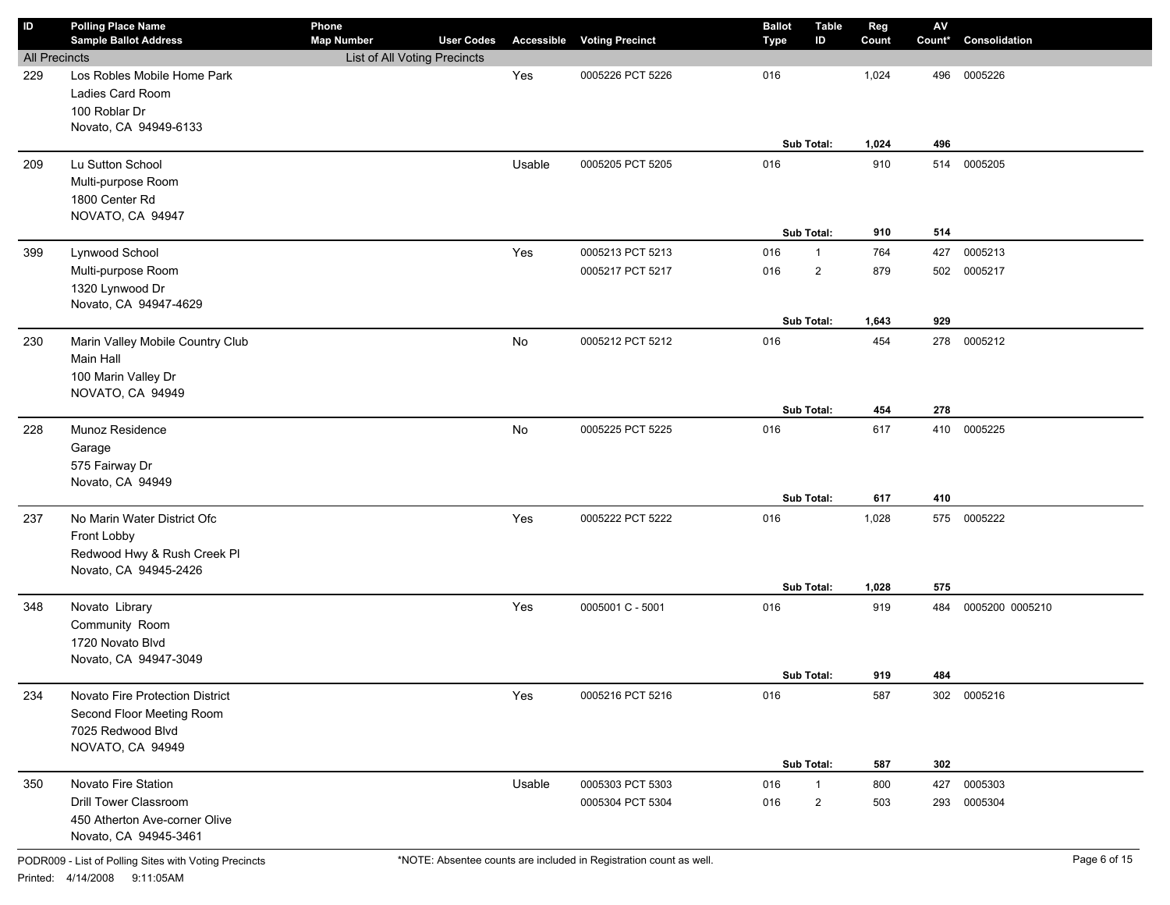| ID                   | <b>Polling Place Name</b><br><b>Sample Ballot Address</b> | Phone<br><b>Map Number</b>   | <b>User Codes</b> | Accessible | <b>Voting Precinct</b> | <b>Ballot</b><br><b>Type</b> | <b>Table</b><br>ID | Reg<br>Count | $\mathbf{A}\mathbf{V}$<br>Count* | Consolidation   |
|----------------------|-----------------------------------------------------------|------------------------------|-------------------|------------|------------------------|------------------------------|--------------------|--------------|----------------------------------|-----------------|
| <b>All Precincts</b> |                                                           | List of All Voting Precincts |                   |            |                        |                              |                    |              |                                  |                 |
| 229                  | Los Robles Mobile Home Park                               |                              |                   | Yes        | 0005226 PCT 5226       | 016                          |                    | 1,024        | 496                              | 0005226         |
|                      | Ladies Card Room                                          |                              |                   |            |                        |                              |                    |              |                                  |                 |
|                      | 100 Roblar Dr                                             |                              |                   |            |                        |                              |                    |              |                                  |                 |
|                      | Novato, CA 94949-6133                                     |                              |                   |            |                        |                              |                    |              |                                  |                 |
|                      |                                                           |                              |                   |            |                        |                              | Sub Total:         | 1,024        | 496                              |                 |
| 209                  | Lu Sutton School                                          |                              |                   | Usable     | 0005205 PCT 5205       | 016                          |                    | 910          | 514                              | 0005205         |
|                      | Multi-purpose Room                                        |                              |                   |            |                        |                              |                    |              |                                  |                 |
|                      | 1800 Center Rd                                            |                              |                   |            |                        |                              |                    |              |                                  |                 |
|                      | NOVATO, CA 94947                                          |                              |                   |            |                        |                              |                    |              |                                  |                 |
|                      |                                                           |                              |                   |            |                        |                              | Sub Total:         | 910          | 514                              |                 |
| 399                  | Lynwood School                                            |                              |                   | Yes        | 0005213 PCT 5213       | 016                          | $\mathbf{1}$       | 764          | 427                              | 0005213         |
|                      | Multi-purpose Room                                        |                              |                   |            | 0005217 PCT 5217       | 016                          | $\overline{2}$     | 879          | 502                              | 0005217         |
|                      | 1320 Lynwood Dr                                           |                              |                   |            |                        |                              |                    |              |                                  |                 |
|                      | Novato, CA 94947-4629                                     |                              |                   |            |                        |                              |                    |              |                                  |                 |
|                      |                                                           |                              |                   |            |                        |                              | Sub Total:         | 1,643        | 929                              |                 |
| 230                  | Marin Valley Mobile Country Club                          |                              |                   | No         | 0005212 PCT 5212       | 016                          |                    | 454          | 278                              | 0005212         |
|                      | Main Hall                                                 |                              |                   |            |                        |                              |                    |              |                                  |                 |
|                      | 100 Marin Valley Dr                                       |                              |                   |            |                        |                              |                    |              |                                  |                 |
|                      | NOVATO, CA 94949                                          |                              |                   |            |                        |                              |                    |              |                                  |                 |
|                      |                                                           |                              |                   |            |                        |                              | Sub Total:         | 454          | 278                              |                 |
| 228                  | Munoz Residence                                           |                              |                   | No         | 0005225 PCT 5225       | 016                          |                    | 617          | 410                              | 0005225         |
|                      | Garage                                                    |                              |                   |            |                        |                              |                    |              |                                  |                 |
|                      | 575 Fairway Dr                                            |                              |                   |            |                        |                              |                    |              |                                  |                 |
|                      | Novato, CA 94949                                          |                              |                   |            |                        |                              |                    |              |                                  |                 |
|                      |                                                           |                              |                   |            |                        |                              | Sub Total:         | 617          | 410                              |                 |
| 237                  | No Marin Water District Ofc                               |                              |                   | Yes        | 0005222 PCT 5222       | 016                          |                    | 1,028        | 575                              | 0005222         |
|                      | Front Lobby                                               |                              |                   |            |                        |                              |                    |              |                                  |                 |
|                      | Redwood Hwy & Rush Creek Pl<br>Novato, CA 94945-2426      |                              |                   |            |                        |                              |                    |              |                                  |                 |
|                      |                                                           |                              |                   |            |                        |                              | Sub Total:         | 1,028        | 575                              |                 |
| 348                  | Novato Library                                            |                              |                   | Yes        | 0005001 C - 5001       | 016                          |                    | 919          | 484                              | 0005200 0005210 |
|                      | Community Room                                            |                              |                   |            |                        |                              |                    |              |                                  |                 |
|                      | 1720 Novato Blvd                                          |                              |                   |            |                        |                              |                    |              |                                  |                 |
|                      | Novato, CA 94947-3049                                     |                              |                   |            |                        |                              |                    |              |                                  |                 |
|                      |                                                           |                              |                   |            |                        |                              | Sub Total:         | 919          | 484                              |                 |
| 234                  | Novato Fire Protection District                           |                              |                   | Yes        | 0005216 PCT 5216       | 016                          |                    | 587          |                                  | 302 0005216     |
|                      | Second Floor Meeting Room                                 |                              |                   |            |                        |                              |                    |              |                                  |                 |
|                      | 7025 Redwood Blvd                                         |                              |                   |            |                        |                              |                    |              |                                  |                 |
|                      | NOVATO, CA 94949                                          |                              |                   |            |                        |                              |                    |              |                                  |                 |
|                      |                                                           |                              |                   |            |                        |                              | Sub Total:         | 587          | 302                              |                 |
| 350                  | Novato Fire Station                                       |                              |                   | Usable     | 0005303 PCT 5303       | 016                          | $\mathbf{1}$       | 800          | 427                              | 0005303         |
|                      | Drill Tower Classroom                                     |                              |                   |            | 0005304 PCT 5304       | 016                          | $\overline{2}$     | 503          | 293                              | 0005304         |
|                      | 450 Atherton Ave-corner Olive                             |                              |                   |            |                        |                              |                    |              |                                  |                 |
|                      | Novato, CA 94945-3461                                     |                              |                   |            |                        |                              |                    |              |                                  |                 |
|                      |                                                           |                              |                   |            |                        |                              |                    |              |                                  |                 |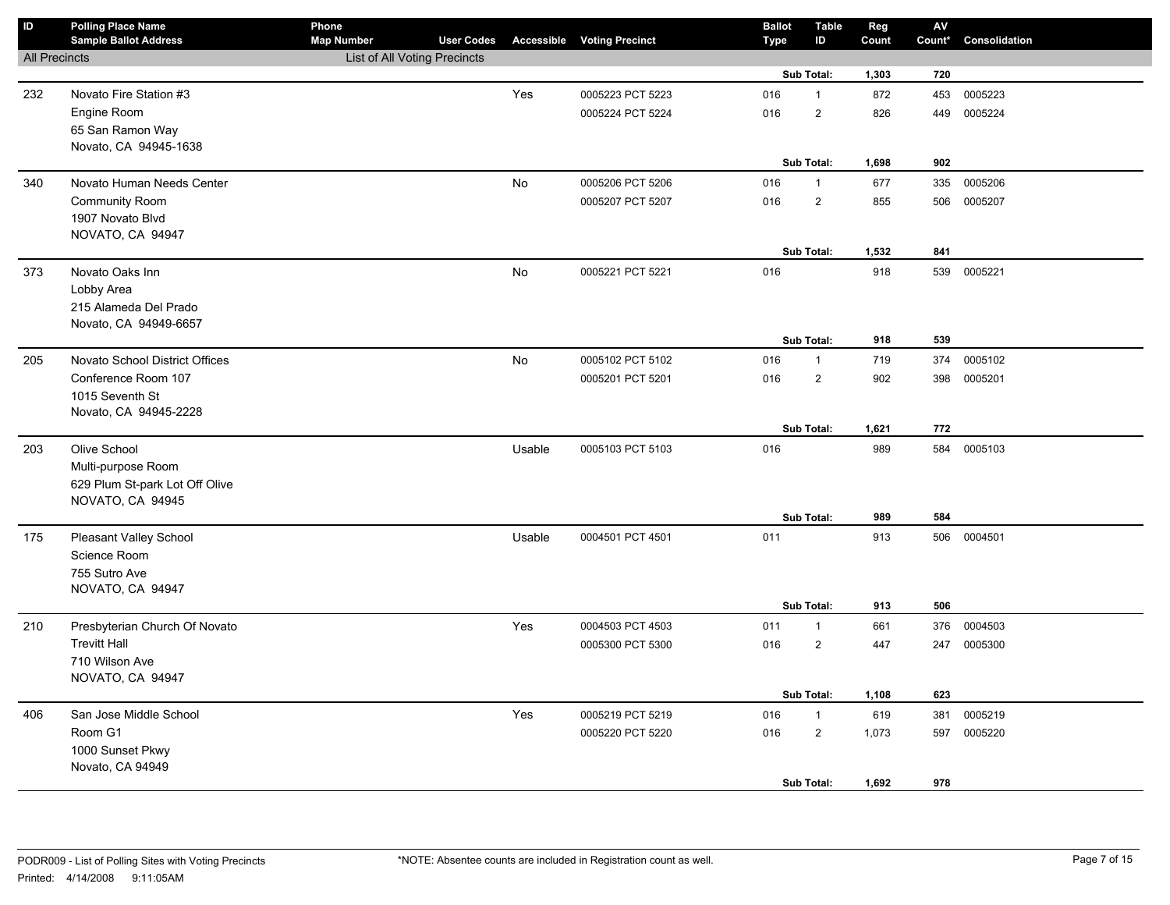| $\mathsf{ID}$        | <b>Polling Place Name</b><br><b>Sample Ballot Address</b> | Phone<br><b>Map Number</b>   | <b>User Codes</b> |        | <b>Accessible Voting Precinct</b> | <b>Ballot</b><br>Type | <b>Table</b><br>ID | Reg<br>Count | ${\sf AV}$<br>Count* | Consolidation |
|----------------------|-----------------------------------------------------------|------------------------------|-------------------|--------|-----------------------------------|-----------------------|--------------------|--------------|----------------------|---------------|
| <b>All Precincts</b> |                                                           | List of All Voting Precincts |                   |        |                                   |                       |                    |              |                      |               |
|                      |                                                           |                              |                   |        |                                   |                       | Sub Total:         | 1,303        | 720                  |               |
| 232                  | Novato Fire Station #3                                    |                              |                   | Yes    | 0005223 PCT 5223                  | 016                   | $\mathbf{1}$       | 872          | 453                  | 0005223       |
|                      | Engine Room                                               |                              |                   |        | 0005224 PCT 5224                  | 016                   | $\sqrt{2}$         | 826          | 449                  | 0005224       |
|                      | 65 San Ramon Way                                          |                              |                   |        |                                   |                       |                    |              |                      |               |
|                      | Novato, CA 94945-1638                                     |                              |                   |        |                                   |                       |                    |              |                      |               |
|                      |                                                           |                              |                   |        |                                   |                       | Sub Total:         | 1,698        | 902                  |               |
| 340                  | Novato Human Needs Center                                 |                              |                   | No     | 0005206 PCT 5206                  | 016                   | $\mathbf{1}$       | 677          | 335                  | 0005206       |
|                      | <b>Community Room</b>                                     |                              |                   |        | 0005207 PCT 5207                  | 016                   | $\overline{2}$     | 855          |                      | 506 0005207   |
|                      | 1907 Novato Blvd                                          |                              |                   |        |                                   |                       |                    |              |                      |               |
|                      | NOVATO, CA 94947                                          |                              |                   |        |                                   |                       |                    |              |                      |               |
|                      |                                                           |                              |                   |        |                                   |                       | Sub Total:         | 1,532        | 841                  |               |
| 373                  | Novato Oaks Inn                                           |                              |                   | No     | 0005221 PCT 5221                  | 016                   |                    | 918          | 539                  | 0005221       |
|                      | Lobby Area                                                |                              |                   |        |                                   |                       |                    |              |                      |               |
|                      | 215 Alameda Del Prado                                     |                              |                   |        |                                   |                       |                    |              |                      |               |
|                      | Novato, CA 94949-6657                                     |                              |                   |        |                                   |                       | Sub Total:         | 918          | 539                  |               |
|                      |                                                           |                              |                   |        |                                   |                       |                    |              |                      |               |
| 205                  | Novato School District Offices<br>Conference Room 107     |                              |                   | No     | 0005102 PCT 5102                  | 016                   | $\mathbf{1}$       | 719          | 374                  | 0005102       |
|                      | 1015 Seventh St                                           |                              |                   |        | 0005201 PCT 5201                  | 016                   | $\overline{2}$     | 902          |                      | 398 0005201   |
|                      | Novato, CA 94945-2228                                     |                              |                   |        |                                   |                       |                    |              |                      |               |
|                      |                                                           |                              |                   |        |                                   |                       | Sub Total:         | 1,621        | 772                  |               |
| 203                  | Olive School                                              |                              |                   | Usable | 0005103 PCT 5103                  | 016                   |                    | 989          | 584                  | 0005103       |
|                      | Multi-purpose Room                                        |                              |                   |        |                                   |                       |                    |              |                      |               |
|                      | 629 Plum St-park Lot Off Olive                            |                              |                   |        |                                   |                       |                    |              |                      |               |
|                      | NOVATO, CA 94945                                          |                              |                   |        |                                   |                       |                    |              |                      |               |
|                      |                                                           |                              |                   |        |                                   |                       | Sub Total:         | 989          | 584                  |               |
| 175                  | Pleasant Valley School                                    |                              |                   | Usable | 0004501 PCT 4501                  | 011                   |                    | 913          | 506                  | 0004501       |
|                      | Science Room                                              |                              |                   |        |                                   |                       |                    |              |                      |               |
|                      | 755 Sutro Ave                                             |                              |                   |        |                                   |                       |                    |              |                      |               |
|                      | NOVATO, CA 94947                                          |                              |                   |        |                                   |                       |                    |              |                      |               |
|                      |                                                           |                              |                   |        |                                   |                       | Sub Total:         | 913          | 506                  |               |
| 210                  | Presbyterian Church Of Novato                             |                              |                   | Yes    | 0004503 PCT 4503                  | 011                   | $\mathbf{1}$       | 661          | 376                  | 0004503       |
|                      | <b>Trevitt Hall</b>                                       |                              |                   |        | 0005300 PCT 5300                  | 016                   | 2                  | 447          | 247                  | 0005300       |
|                      | 710 Wilson Ave                                            |                              |                   |        |                                   |                       |                    |              |                      |               |
|                      | NOVATO, CA 94947                                          |                              |                   |        |                                   |                       |                    |              |                      |               |
|                      |                                                           |                              |                   |        |                                   |                       | Sub Total:         | 1,108        | 623                  |               |
| 406                  | San Jose Middle School                                    |                              |                   | Yes    | 0005219 PCT 5219                  | 016                   | $\mathbf{1}$       | 619          | 381                  | 0005219       |
|                      | Room G1                                                   |                              |                   |        | 0005220 PCT 5220                  | 016                   | $\overline{2}$     | 1,073        | 597                  | 0005220       |
|                      | 1000 Sunset Pkwy                                          |                              |                   |        |                                   |                       |                    |              |                      |               |
|                      | Novato, CA 94949                                          |                              |                   |        |                                   |                       | Sub Total:         | 1,692        | 978                  |               |
|                      |                                                           |                              |                   |        |                                   |                       |                    |              |                      |               |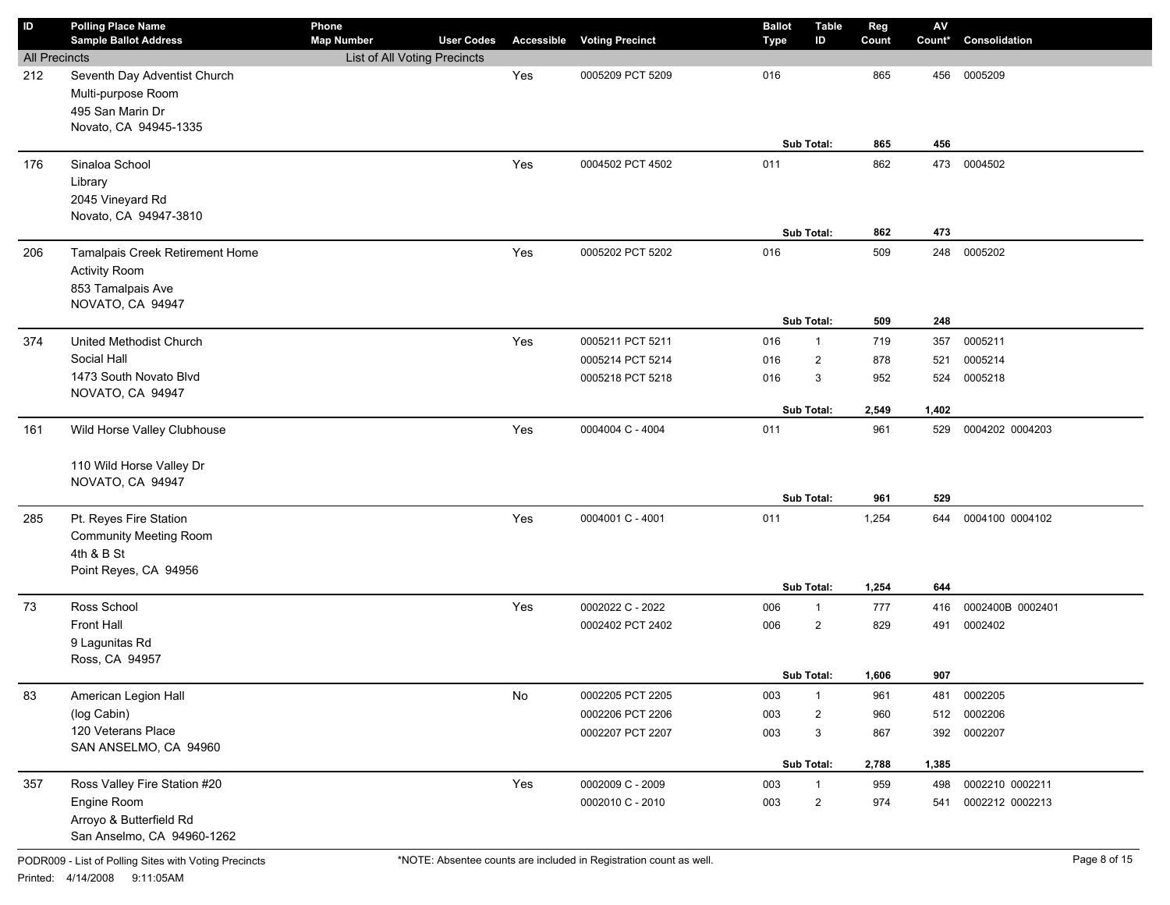| ID                   | <b>Polling Place Name</b>                 | Phone                        |                   |                   |                        | <b>Ballot</b> | <b>Table</b>   | Reg   | $\mathbf{A}\mathbf{V}$ |                    |
|----------------------|-------------------------------------------|------------------------------|-------------------|-------------------|------------------------|---------------|----------------|-------|------------------------|--------------------|
|                      | <b>Sample Ballot Address</b>              | <b>Map Number</b>            | <b>User Codes</b> | <b>Accessible</b> | <b>Voting Precinct</b> | <b>Type</b>   | ID             | Count | Count*                 | Consolidation      |
| <b>All Precincts</b> |                                           | List of All Voting Precincts |                   |                   |                        |               |                |       |                        |                    |
| 212                  | Seventh Day Adventist Church              |                              |                   | Yes               | 0005209 PCT 5209       | 016           |                | 865   | 456                    | 0005209            |
|                      | Multi-purpose Room                        |                              |                   |                   |                        |               |                |       |                        |                    |
|                      | 495 San Marin Dr<br>Novato, CA 94945-1335 |                              |                   |                   |                        |               |                |       |                        |                    |
|                      |                                           |                              |                   |                   |                        |               | Sub Total:     | 865   | 456                    |                    |
| 176                  | Sinaloa School                            |                              |                   | Yes               | 0004502 PCT 4502       | 011           |                | 862   | 473                    | 0004502            |
|                      |                                           |                              |                   |                   |                        |               |                |       |                        |                    |
|                      | Library<br>2045 Vineyard Rd               |                              |                   |                   |                        |               |                |       |                        |                    |
|                      | Novato, CA 94947-3810                     |                              |                   |                   |                        |               |                |       |                        |                    |
|                      |                                           |                              |                   |                   |                        |               | Sub Total:     | 862   | 473                    |                    |
| 206                  | Tamalpais Creek Retirement Home           |                              |                   | Yes               | 0005202 PCT 5202       | 016           |                | 509   | 248                    | 0005202            |
|                      | <b>Activity Room</b>                      |                              |                   |                   |                        |               |                |       |                        |                    |
|                      | 853 Tamalpais Ave                         |                              |                   |                   |                        |               |                |       |                        |                    |
|                      | NOVATO, CA 94947                          |                              |                   |                   |                        |               |                |       |                        |                    |
|                      |                                           |                              |                   |                   |                        |               | Sub Total:     | 509   | 248                    |                    |
| 374                  | United Methodist Church                   |                              |                   | Yes               | 0005211 PCT 5211       | 016           | $\mathbf{1}$   | 719   | 357                    | 0005211            |
|                      | Social Hall                               |                              |                   |                   | 0005214 PCT 5214       | 016           | $\overline{2}$ | 878   | 521                    | 0005214            |
|                      | 1473 South Novato Blvd                    |                              |                   |                   | 0005218 PCT 5218       | 016           | 3              | 952   | 524                    | 0005218            |
|                      | NOVATO, CA 94947                          |                              |                   |                   |                        |               |                |       |                        |                    |
|                      |                                           |                              |                   |                   |                        |               | Sub Total:     | 2,549 | 1,402                  |                    |
| 161                  | Wild Horse Valley Clubhouse               |                              |                   | Yes               | 0004004 C - 4004       | 011           |                | 961   | 529                    | 0004202 0004203    |
|                      |                                           |                              |                   |                   |                        |               |                |       |                        |                    |
|                      | 110 Wild Horse Valley Dr                  |                              |                   |                   |                        |               |                |       |                        |                    |
|                      | NOVATO, CA 94947                          |                              |                   |                   |                        |               |                |       |                        |                    |
|                      |                                           |                              |                   |                   |                        |               | Sub Total:     | 961   | 529                    |                    |
| 285                  | Pt. Reyes Fire Station                    |                              |                   | Yes               | 0004001 C - 4001       | 011           |                | 1,254 | 644                    | 0004100 0004102    |
|                      | <b>Community Meeting Room</b>             |                              |                   |                   |                        |               |                |       |                        |                    |
|                      | 4th & B St                                |                              |                   |                   |                        |               |                |       |                        |                    |
|                      | Point Reyes, CA 94956                     |                              |                   |                   |                        |               |                |       |                        |                    |
|                      |                                           |                              |                   |                   |                        |               | Sub Total:     | 1,254 | 644                    |                    |
| 73                   | Ross School                               |                              |                   | Yes               | 0002022 C - 2022       | 006           | $\mathbf{1}$   | 777   | 416                    | 0002400B 0002401   |
|                      | Front Hall                                |                              |                   |                   | 0002402 PCT 2402       | 006           | $\overline{2}$ | 829   | 491                    | 0002402            |
|                      | 9 Lagunitas Rd                            |                              |                   |                   |                        |               |                |       |                        |                    |
|                      | Ross, CA 94957                            |                              |                   |                   |                        |               | Sub Total:     | 1,606 | 907                    |                    |
|                      |                                           |                              |                   |                   |                        |               |                |       |                        |                    |
| 83                   | American Legion Hall<br>(log Cabin)       |                              |                   | $\mathsf{No}$     | 0002205 PCT 2205       | 003           | $\mathbf{1}$   | 961   | 481                    | 0002205<br>0002206 |
|                      | 120 Veterans Place                        |                              |                   |                   | 0002206 PCT 2206       | 003           | $\overline{c}$ | 960   | 512                    |                    |
|                      | SAN ANSELMO, CA 94960                     |                              |                   |                   | 0002207 PCT 2207       | 003           | 3              | 867   | 392                    | 0002207            |
|                      |                                           |                              |                   |                   |                        |               | Sub Total:     | 2,788 | 1,385                  |                    |
| 357                  | Ross Valley Fire Station #20              |                              |                   | Yes               | 0002009 C - 2009       | 003           | $\mathbf{1}$   | 959   | 498                    | 0002210 0002211    |
|                      | Engine Room                               |                              |                   |                   | 0002010 C - 2010       | 003           | $\overline{c}$ | 974   | 541                    | 0002212 0002213    |
|                      | Arroyo & Butterfield Rd                   |                              |                   |                   |                        |               |                |       |                        |                    |
|                      | San Anselmo, CA 94960-1262                |                              |                   |                   |                        |               |                |       |                        |                    |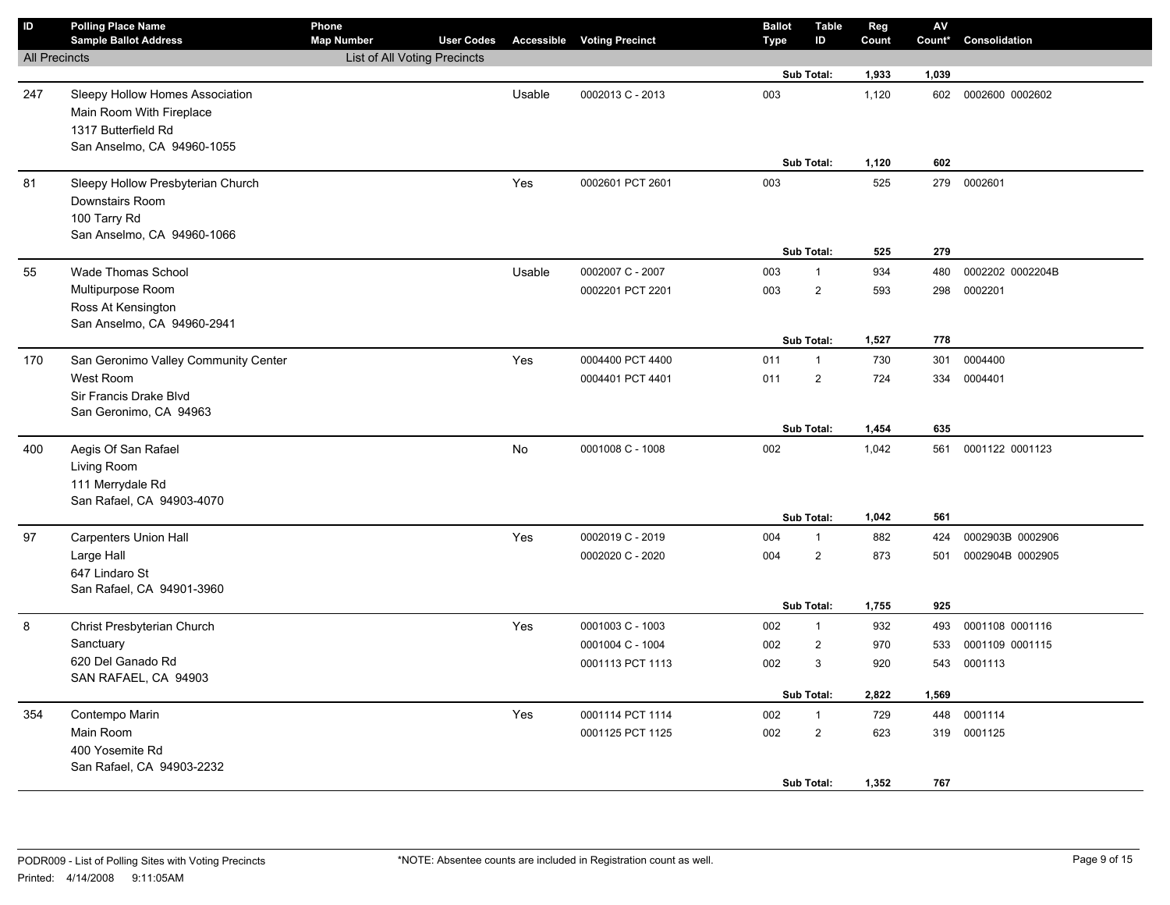| ID                   | <b>Polling Place Name</b><br><b>Sample Ballot Address</b>                                                        | Phone<br><b>Map Number</b>   | <b>User Codes</b> |        | <b>Accessible Voting Precinct</b> | <b>Ballot</b><br>Type | <b>Table</b><br>ID           | Reg<br>Count   | AV<br>Count* | Consolidation    |
|----------------------|------------------------------------------------------------------------------------------------------------------|------------------------------|-------------------|--------|-----------------------------------|-----------------------|------------------------------|----------------|--------------|------------------|
| <b>All Precincts</b> |                                                                                                                  | List of All Voting Precincts |                   |        |                                   |                       |                              |                |              |                  |
|                      |                                                                                                                  |                              |                   |        |                                   |                       | Sub Total:                   | 1,933          | 1,039        |                  |
| 247                  | Sleepy Hollow Homes Association<br>Main Room With Fireplace<br>1317 Butterfield Rd<br>San Anselmo, CA 94960-1055 |                              |                   | Usable | 0002013 C - 2013                  | 003                   |                              | 1,120          | 602          | 0002600 0002602  |
|                      |                                                                                                                  |                              |                   |        |                                   |                       | Sub Total:                   | 1,120          | 602          |                  |
| 81                   | Sleepy Hollow Presbyterian Church<br>Downstairs Room<br>100 Tarry Rd<br>San Anselmo, CA 94960-1066               |                              |                   | Yes    | 0002601 PCT 2601                  | 003                   | Sub Total:                   | 525<br>525     | 279<br>279   | 0002601          |
| 55                   | <b>Wade Thomas School</b>                                                                                        |                              |                   | Usable | 0002007 C - 2007                  | 003                   | $\mathbf{1}$                 | 934            | 480          | 0002202 0002204B |
|                      | Multipurpose Room<br>Ross At Kensington<br>San Anselmo, CA 94960-2941                                            |                              |                   |        | 0002201 PCT 2201                  | 003                   | $\overline{2}$<br>Sub Total: | 593<br>1,527   | 298<br>778   | 0002201          |
| 170                  | San Geronimo Valley Community Center                                                                             |                              |                   | Yes    | 0004400 PCT 4400                  | 011                   | $\mathbf{1}$                 | 730            | 301          | 0004400          |
|                      | West Room<br>Sir Francis Drake Blvd<br>San Geronimo, CA 94963                                                    |                              |                   |        | 0004401 PCT 4401                  | 011                   | $\overline{2}$               | 724            | 334          | 0004401          |
|                      |                                                                                                                  |                              |                   |        |                                   |                       | Sub Total:                   | 1,454          | 635          |                  |
| 400                  | Aegis Of San Rafael<br>Living Room<br>111 Merrydale Rd<br>San Rafael, CA 94903-4070                              |                              |                   | No     | 0001008 C - 1008                  | 002                   | Sub Total:                   | 1,042<br>1,042 | 561<br>561   | 0001122 0001123  |
| 97                   | <b>Carpenters Union Hall</b>                                                                                     |                              |                   | Yes    | 0002019 C - 2019                  | 004                   | $\mathbf{1}$                 | 882            | 424          | 0002903B 0002906 |
|                      | Large Hall<br>647 Lindaro St<br>San Rafael, CA 94901-3960                                                        |                              |                   |        | 0002020 C - 2020                  | 004                   | $\overline{2}$<br>Sub Total: | 873<br>1,755   | 501<br>925   | 0002904B 0002905 |
| 8                    | Christ Presbyterian Church                                                                                       |                              |                   | Yes    | 0001003 C - 1003                  | 002                   | $\mathbf{1}$                 | 932            | 493          | 0001108 0001116  |
|                      | Sanctuary                                                                                                        |                              |                   |        | 0001004 C - 1004                  | 002                   | $\overline{2}$               | 970            | 533          | 0001109 0001115  |
|                      | 620 Del Ganado Rd<br>SAN RAFAEL, CA 94903                                                                        |                              |                   |        | 0001113 PCT 1113                  | 002                   | 3                            | 920            | 543          | 0001113          |
|                      |                                                                                                                  |                              |                   |        |                                   |                       | Sub Total:                   | 2,822          | 1,569        |                  |
| 354                  | Contempo Marin                                                                                                   |                              |                   | Yes    | 0001114 PCT 1114                  | 002                   | $\mathbf{1}$                 | 729            |              | 448 0001114      |
|                      | Main Room<br>400 Yosemite Rd<br>San Rafael, CA 94903-2232                                                        |                              |                   |        | 0001125 PCT 1125                  | 002                   | $\overline{c}$<br>Sub Total: | 623<br>1,352   | 767          | 319 0001125      |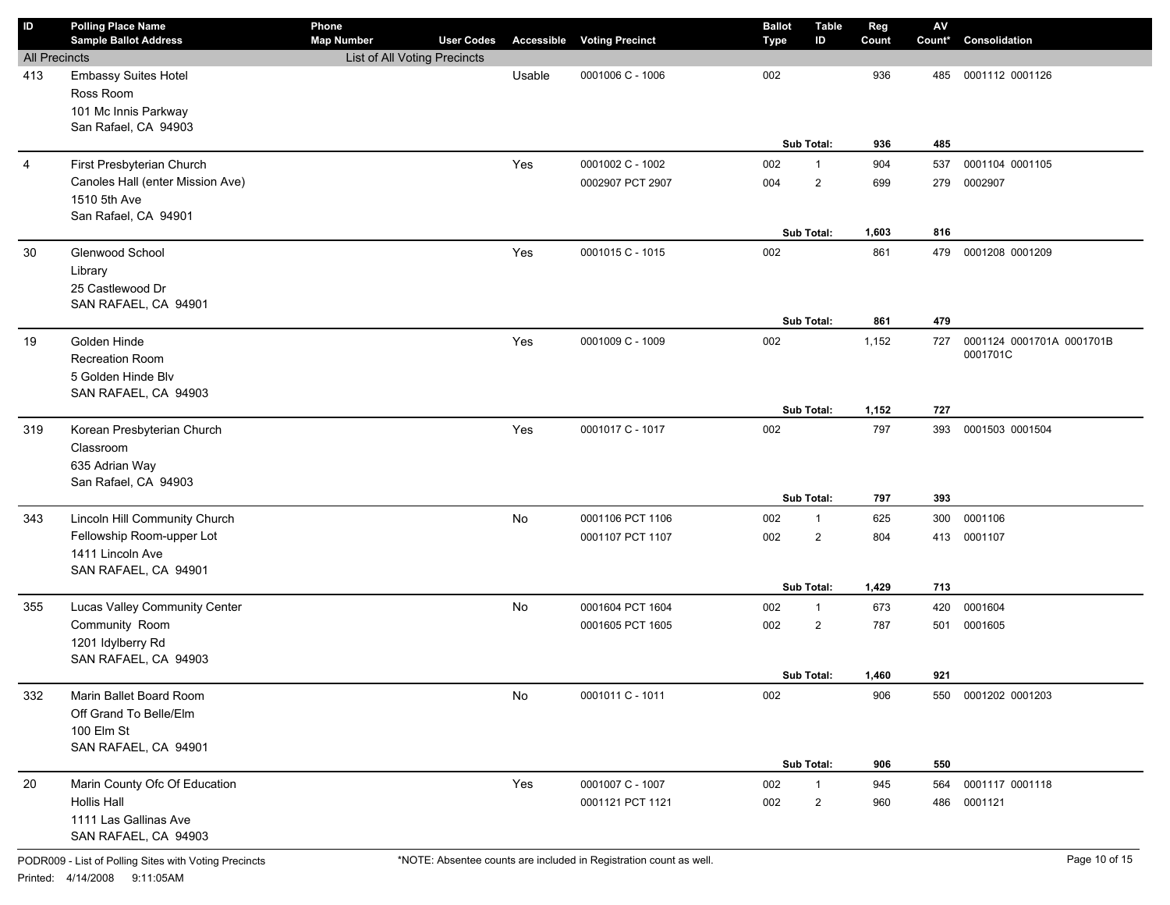| ID                   | <b>Polling Place Name</b><br><b>Sample Ballot Address</b> | Phone<br><b>Map Number</b>   | <b>User Codes</b> |        | <b>Accessible Voting Precinct</b> | <b>Ballot</b><br>Type | <b>Table</b><br>ID | Reg<br>Count | $\mathsf{AV}$<br>Count* | Consolidation             |
|----------------------|-----------------------------------------------------------|------------------------------|-------------------|--------|-----------------------------------|-----------------------|--------------------|--------------|-------------------------|---------------------------|
| <b>All Precincts</b> |                                                           | List of All Voting Precincts |                   |        |                                   |                       |                    |              |                         |                           |
| 413                  | <b>Embassy Suites Hotel</b>                               |                              |                   | Usable | 0001006 C - 1006                  | 002                   |                    | 936          | 485                     | 0001112 0001126           |
|                      | Ross Room                                                 |                              |                   |        |                                   |                       |                    |              |                         |                           |
|                      | 101 Mc Innis Parkway                                      |                              |                   |        |                                   |                       |                    |              |                         |                           |
|                      | San Rafael, CA 94903                                      |                              |                   |        |                                   |                       |                    |              |                         |                           |
|                      |                                                           |                              |                   |        |                                   |                       | Sub Total:         | 936          | 485                     |                           |
| $\overline{4}$       | First Presbyterian Church                                 |                              |                   | Yes    | 0001002 C - 1002                  | 002                   | $\mathbf{1}$       | 904          | 537                     | 0001104 0001105           |
|                      | Canoles Hall (enter Mission Ave)                          |                              |                   |        | 0002907 PCT 2907                  | 004                   | $\overline{2}$     | 699          | 279                     | 0002907                   |
|                      | 1510 5th Ave                                              |                              |                   |        |                                   |                       |                    |              |                         |                           |
|                      | San Rafael, CA 94901                                      |                              |                   |        |                                   |                       |                    |              |                         |                           |
|                      |                                                           |                              |                   |        |                                   |                       | Sub Total:         | 1,603        | 816                     |                           |
| 30                   | Glenwood School                                           |                              |                   | Yes    | 0001015 C - 1015                  | 002                   |                    | 861          | 479                     | 0001208 0001209           |
|                      | Library<br>25 Castlewood Dr                               |                              |                   |        |                                   |                       |                    |              |                         |                           |
|                      | SAN RAFAEL, CA 94901                                      |                              |                   |        |                                   |                       |                    |              |                         |                           |
|                      |                                                           |                              |                   |        |                                   |                       | Sub Total:         | 861          | 479                     |                           |
| 19                   | Golden Hinde                                              |                              |                   | Yes    | 0001009 C - 1009                  | 002                   |                    | 1,152        | 727                     | 0001124 0001701A 0001701B |
|                      | Recreation Room                                           |                              |                   |        |                                   |                       |                    |              |                         | 0001701C                  |
|                      | 5 Golden Hinde Blv                                        |                              |                   |        |                                   |                       |                    |              |                         |                           |
|                      | SAN RAFAEL, CA 94903                                      |                              |                   |        |                                   |                       |                    |              |                         |                           |
|                      |                                                           |                              |                   |        |                                   |                       | Sub Total:         | 1,152        | 727                     |                           |
| 319                  | Korean Presbyterian Church                                |                              |                   | Yes    | 0001017 C - 1017                  | 002                   |                    | 797          | 393                     | 0001503 0001504           |
|                      | Classroom                                                 |                              |                   |        |                                   |                       |                    |              |                         |                           |
|                      | 635 Adrian Way                                            |                              |                   |        |                                   |                       |                    |              |                         |                           |
|                      | San Rafael, CA 94903                                      |                              |                   |        |                                   |                       |                    |              |                         |                           |
|                      |                                                           |                              |                   |        |                                   |                       | Sub Total:         | 797          | 393                     |                           |
| 343                  | Lincoln Hill Community Church                             |                              |                   | No     | 0001106 PCT 1106                  | 002                   | $\mathbf{1}$       | 625          | 300                     | 0001106                   |
|                      | Fellowship Room-upper Lot                                 |                              |                   |        | 0001107 PCT 1107                  | 002                   | $\overline{2}$     | 804          |                         | 413 0001107               |
|                      | 1411 Lincoln Ave<br>SAN RAFAEL, CA 94901                  |                              |                   |        |                                   |                       |                    |              |                         |                           |
|                      |                                                           |                              |                   |        |                                   |                       | Sub Total:         | 1,429        | 713                     |                           |
| 355                  | Lucas Valley Community Center                             |                              |                   | No     | 0001604 PCT 1604                  | 002                   | $\mathbf{1}$       | 673          | 420                     | 0001604                   |
|                      | Community Room                                            |                              |                   |        | 0001605 PCT 1605                  | 002                   | $\overline{2}$     | 787          | 501                     | 0001605                   |
|                      | 1201 Idylberry Rd                                         |                              |                   |        |                                   |                       |                    |              |                         |                           |
|                      | SAN RAFAEL, CA 94903                                      |                              |                   |        |                                   |                       |                    |              |                         |                           |
|                      |                                                           |                              |                   |        |                                   |                       | <b>Sub Total:</b>  | 1,460        | 921                     |                           |
| 332                  | Marin Ballet Board Room                                   |                              |                   | No     | 0001011 C - 1011                  | 002                   |                    | 906          |                         | 550 0001202 0001203       |
|                      | Off Grand To Belle/Elm                                    |                              |                   |        |                                   |                       |                    |              |                         |                           |
|                      | 100 Elm St                                                |                              |                   |        |                                   |                       |                    |              |                         |                           |
|                      | SAN RAFAEL, CA 94901                                      |                              |                   |        |                                   |                       |                    |              |                         |                           |
|                      |                                                           |                              |                   |        |                                   |                       | Sub Total:         | 906          | 550                     |                           |
| 20                   | Marin County Ofc Of Education                             |                              |                   | Yes    | 0001007 C - 1007                  | 002                   | $\mathbf{1}$       | 945          | 564                     | 0001117 0001118           |
|                      | Hollis Hall                                               |                              |                   |        | 0001121 PCT 1121                  | 002                   | $\mathbf{2}$       | 960          | 486                     | 0001121                   |
|                      | 1111 Las Gallinas Ave<br>SAN RAFAEL, CA 94903             |                              |                   |        |                                   |                       |                    |              |                         |                           |
|                      |                                                           |                              |                   |        |                                   |                       |                    |              |                         |                           |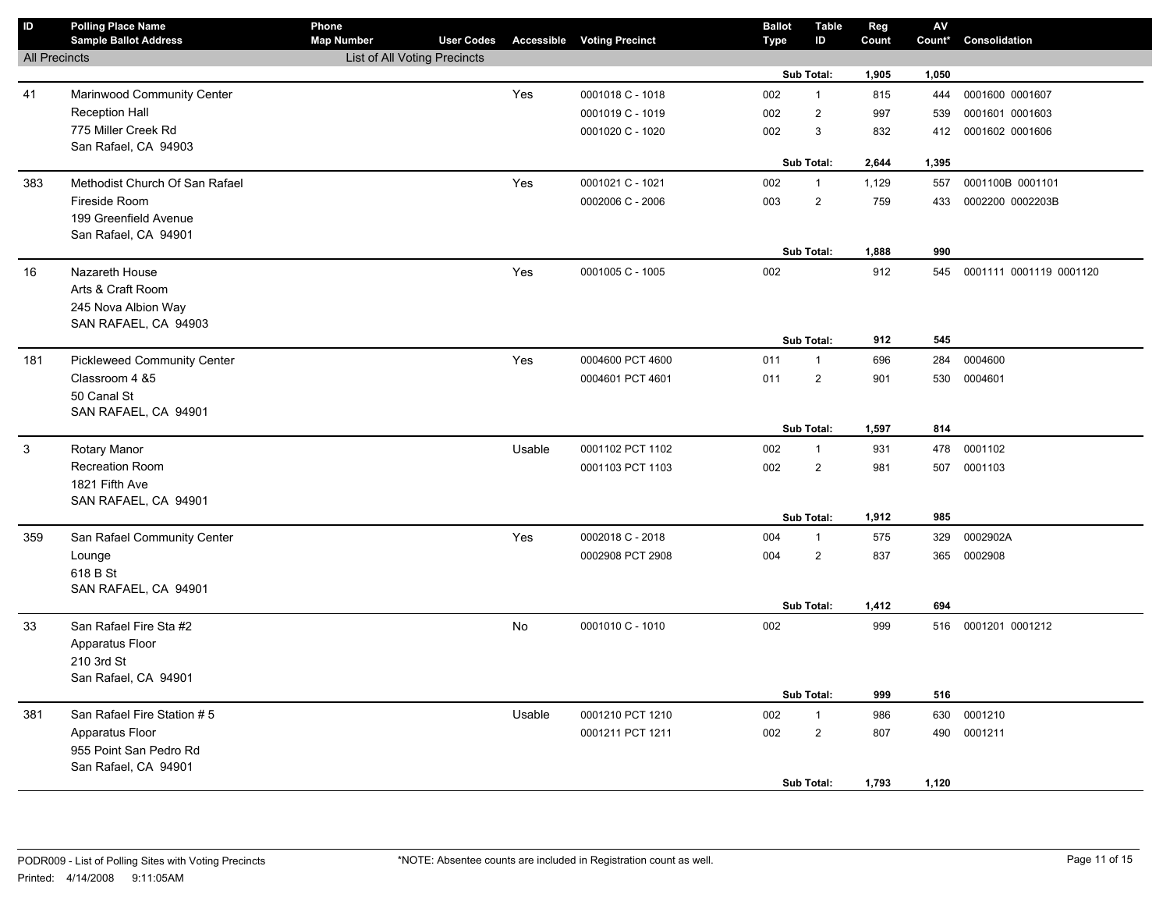| $\mathsf{ID}$        | <b>Polling Place Name</b><br><b>Sample Ballot Address</b> | Phone<br><b>Map Number</b>          | <b>User Codes</b> |           | <b>Accessible Voting Precinct</b> | <b>Ballot</b><br>Type | <b>Table</b><br>ID | Reg<br>Count | ${\sf AV}$<br>Count* | Consolidation               |
|----------------------|-----------------------------------------------------------|-------------------------------------|-------------------|-----------|-----------------------------------|-----------------------|--------------------|--------------|----------------------|-----------------------------|
| <b>All Precincts</b> |                                                           | <b>List of All Voting Precincts</b> |                   |           |                                   |                       |                    |              |                      |                             |
|                      |                                                           |                                     |                   |           |                                   |                       | Sub Total:         | 1,905        | 1,050                |                             |
| 41                   | Marinwood Community Center                                |                                     |                   | Yes       | 0001018 C - 1018                  | 002                   | $\mathbf{1}$       | 815          | 444                  | 0001600 0001607             |
|                      | <b>Reception Hall</b>                                     |                                     |                   |           | 0001019 C - 1019                  | 002                   | $\overline{2}$     | 997          | 539                  | 0001601 0001603             |
|                      | 775 Miller Creek Rd                                       |                                     |                   |           | 0001020 C - 1020                  | 002                   | 3                  | 832          | 412                  | 0001602 0001606             |
|                      | San Rafael, CA 94903                                      |                                     |                   |           |                                   |                       |                    |              |                      |                             |
|                      |                                                           |                                     |                   |           |                                   |                       | <b>Sub Total:</b>  | 2,644        | 1,395                |                             |
| 383                  | Methodist Church Of San Rafael                            |                                     |                   | Yes       | 0001021 C - 1021                  | 002                   | $\mathbf{1}$       | 1,129        | 557                  | 0001100B 0001101            |
|                      | Fireside Room                                             |                                     |                   |           | 0002006 C - 2006                  | 003                   | $\overline{2}$     | 759          | 433                  | 0002200 0002203B            |
|                      | 199 Greenfield Avenue                                     |                                     |                   |           |                                   |                       |                    |              |                      |                             |
|                      | San Rafael, CA 94901                                      |                                     |                   |           |                                   |                       | Sub Total:         | 1,888        | 990                  |                             |
|                      |                                                           |                                     |                   |           |                                   |                       |                    |              |                      |                             |
| 16                   | Nazareth House                                            |                                     |                   | Yes       | 0001005 C - 1005                  | 002                   |                    | 912          |                      | 545 0001111 0001119 0001120 |
|                      | Arts & Craft Room                                         |                                     |                   |           |                                   |                       |                    |              |                      |                             |
|                      | 245 Nova Albion Way<br>SAN RAFAEL, CA 94903               |                                     |                   |           |                                   |                       |                    |              |                      |                             |
|                      |                                                           |                                     |                   |           |                                   |                       | Sub Total:         | 912          | 545                  |                             |
| 181                  | <b>Pickleweed Community Center</b>                        |                                     |                   | Yes       | 0004600 PCT 4600                  | 011                   | $\mathbf{1}$       | 696          | 284                  | 0004600                     |
|                      | Classroom 4 &5                                            |                                     |                   |           | 0004601 PCT 4601                  | 011                   | $\overline{2}$     | 901          | 530                  | 0004601                     |
|                      | 50 Canal St                                               |                                     |                   |           |                                   |                       |                    |              |                      |                             |
|                      | SAN RAFAEL, CA 94901                                      |                                     |                   |           |                                   |                       |                    |              |                      |                             |
|                      |                                                           |                                     |                   |           |                                   |                       | Sub Total:         | 1,597        | 814                  |                             |
| $\mathbf{3}$         | <b>Rotary Manor</b>                                       |                                     |                   | Usable    | 0001102 PCT 1102                  | 002                   | $\mathbf{1}$       | 931          | 478                  | 0001102                     |
|                      | <b>Recreation Room</b>                                    |                                     |                   |           | 0001103 PCT 1103                  | 002                   | $\overline{2}$     | 981          | 507                  | 0001103                     |
|                      | 1821 Fifth Ave                                            |                                     |                   |           |                                   |                       |                    |              |                      |                             |
|                      | SAN RAFAEL, CA 94901                                      |                                     |                   |           |                                   |                       |                    |              |                      |                             |
|                      |                                                           |                                     |                   |           |                                   |                       | Sub Total:         | 1,912        | 985                  |                             |
| 359                  | San Rafael Community Center                               |                                     |                   | Yes       | 0002018 C - 2018                  | 004                   | $\mathbf{1}$       | 575          | 329                  | 0002902A                    |
|                      | Lounge                                                    |                                     |                   |           | 0002908 PCT 2908                  | 004                   | $\mathbf{2}$       | 837          |                      | 365 0002908                 |
|                      | 618 B St                                                  |                                     |                   |           |                                   |                       |                    |              |                      |                             |
|                      | SAN RAFAEL, CA 94901                                      |                                     |                   |           |                                   |                       | Sub Total:         | 1,412        | 694                  |                             |
|                      | San Rafael Fire Sta #2                                    |                                     |                   | <b>No</b> | 0001010 C - 1010                  | 002                   |                    | 999          |                      | 516 0001201 0001212         |
| 33                   | Apparatus Floor                                           |                                     |                   |           |                                   |                       |                    |              |                      |                             |
|                      | 210 3rd St                                                |                                     |                   |           |                                   |                       |                    |              |                      |                             |
|                      | San Rafael, CA 94901                                      |                                     |                   |           |                                   |                       |                    |              |                      |                             |
|                      |                                                           |                                     |                   |           |                                   |                       | Sub Total:         | 999          | 516                  |                             |
| 381                  | San Rafael Fire Station #5                                |                                     |                   | Usable    | 0001210 PCT 1210                  | 002                   | $\mathbf{1}$       | 986          | 630                  | 0001210                     |
|                      | Apparatus Floor                                           |                                     |                   |           | 0001211 PCT 1211                  | 002                   | $\overline{2}$     | 807          |                      | 490 0001211                 |
|                      | 955 Point San Pedro Rd                                    |                                     |                   |           |                                   |                       |                    |              |                      |                             |
|                      | San Rafael, CA 94901                                      |                                     |                   |           |                                   |                       |                    |              |                      |                             |
|                      |                                                           |                                     |                   |           |                                   |                       | Sub Total:         | 1,793        | 1,120                |                             |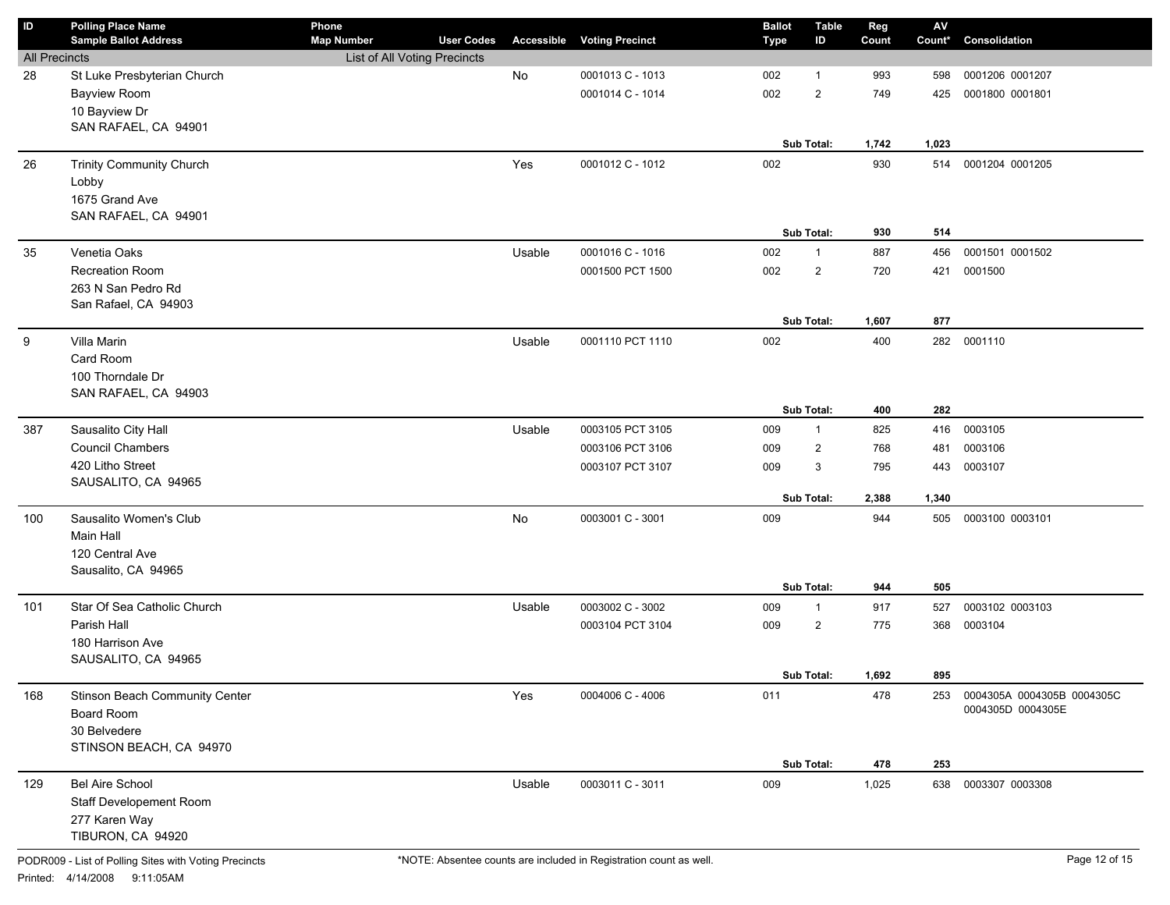| ID                   | <b>Polling Place Name</b><br><b>Sample Ballot Address</b> | Phone<br><b>Map Number</b>   | <b>User Codes</b> | Accessible | <b>Voting Precinct</b> | <b>Ballot</b><br><b>Type</b> | <b>Table</b><br>ID | Reg<br>Count | $\mathsf{A}\mathsf{V}$<br>Count* | Consolidation              |
|----------------------|-----------------------------------------------------------|------------------------------|-------------------|------------|------------------------|------------------------------|--------------------|--------------|----------------------------------|----------------------------|
| <b>All Precincts</b> |                                                           | List of All Voting Precincts |                   |            |                        |                              |                    |              |                                  |                            |
| 28                   | St Luke Presbyterian Church                               |                              |                   | No         | 0001013 C - 1013       | 002                          | $\mathbf{1}$       | 993          | 598                              | 0001206 0001207            |
|                      | <b>Bayview Room</b>                                       |                              |                   |            | 0001014 C - 1014       | 002                          | $\overline{2}$     | 749          | 425                              | 0001800 0001801            |
|                      | 10 Bayview Dr                                             |                              |                   |            |                        |                              |                    |              |                                  |                            |
|                      | SAN RAFAEL, CA 94901                                      |                              |                   |            |                        |                              |                    |              |                                  |                            |
|                      |                                                           |                              |                   |            |                        |                              | Sub Total:         | 1,742        | 1,023                            |                            |
| 26                   | <b>Trinity Community Church</b>                           |                              |                   | Yes        | 0001012 C - 1012       | 002                          |                    | 930          | 514                              | 0001204 0001205            |
|                      | Lobby                                                     |                              |                   |            |                        |                              |                    |              |                                  |                            |
|                      | 1675 Grand Ave                                            |                              |                   |            |                        |                              |                    |              |                                  |                            |
|                      | SAN RAFAEL, CA 94901                                      |                              |                   |            |                        |                              |                    |              |                                  |                            |
|                      |                                                           |                              |                   |            |                        |                              | Sub Total:         | 930          | 514                              |                            |
| 35                   | Venetia Oaks                                              |                              |                   | Usable     | 0001016 C - 1016       | 002                          | $\mathbf{1}$       | 887          | 456                              | 0001501 0001502            |
|                      | Recreation Room                                           |                              |                   |            | 0001500 PCT 1500       | 002                          | $\overline{2}$     | 720          | 421                              | 0001500                    |
|                      | 263 N San Pedro Rd                                        |                              |                   |            |                        |                              |                    |              |                                  |                            |
|                      | San Rafael, CA 94903                                      |                              |                   |            |                        |                              |                    |              |                                  |                            |
|                      |                                                           |                              |                   |            |                        |                              | Sub Total:         | 1,607        | 877                              |                            |
| 9                    | Villa Marin                                               |                              |                   | Usable     | 0001110 PCT 1110       | 002                          |                    | 400          | 282                              | 0001110                    |
|                      | Card Room                                                 |                              |                   |            |                        |                              |                    |              |                                  |                            |
|                      | 100 Thorndale Dr                                          |                              |                   |            |                        |                              |                    |              |                                  |                            |
|                      | SAN RAFAEL, CA 94903                                      |                              |                   |            |                        |                              |                    |              |                                  |                            |
|                      |                                                           |                              |                   |            |                        |                              | Sub Total:         | 400          | 282                              |                            |
| 387                  | Sausalito City Hall                                       |                              |                   | Usable     | 0003105 PCT 3105       | 009                          | $\mathbf{1}$       | 825          | 416                              | 0003105                    |
|                      | <b>Council Chambers</b>                                   |                              |                   |            | 0003106 PCT 3106       | 009                          | $\overline{2}$     | 768          | 481                              | 0003106                    |
|                      | 420 Litho Street                                          |                              |                   |            | 0003107 PCT 3107       | 009                          | 3                  | 795          | 443                              | 0003107                    |
|                      | SAUSALITO, CA 94965                                       |                              |                   |            |                        |                              |                    |              |                                  |                            |
|                      |                                                           |                              |                   |            |                        |                              | Sub Total:         | 2,388        | 1,340                            |                            |
| 100                  | Sausalito Women's Club                                    |                              |                   | No         | 0003001 C - 3001       | 009                          |                    | 944          | 505                              | 0003100 0003101            |
|                      | Main Hall                                                 |                              |                   |            |                        |                              |                    |              |                                  |                            |
|                      | 120 Central Ave                                           |                              |                   |            |                        |                              |                    |              |                                  |                            |
|                      | Sausalito, CA 94965                                       |                              |                   |            |                        |                              |                    |              |                                  |                            |
|                      |                                                           |                              |                   |            |                        |                              | Sub Total:         | 944          | 505                              |                            |
| 101                  | Star Of Sea Catholic Church                               |                              |                   | Usable     | 0003002 C - 3002       | 009                          | $\mathbf{1}$       | 917          | 527                              | 0003102 0003103            |
|                      | Parish Hall                                               |                              |                   |            | 0003104 PCT 3104       | 009                          | $\overline{2}$     | 775          | 368                              | 0003104                    |
|                      | 180 Harrison Ave                                          |                              |                   |            |                        |                              |                    |              |                                  |                            |
|                      | SAUSALITO, CA 94965                                       |                              |                   |            |                        |                              |                    |              |                                  |                            |
|                      |                                                           |                              |                   |            |                        |                              | Sub Total:         | 1,692        | 895                              |                            |
| 168                  | Stinson Beach Community Center                            |                              |                   | Yes        | 0004006 C - 4006       | 011                          |                    | 478          | 253                              | 0004305A 0004305B 0004305C |
|                      | Board Room                                                |                              |                   |            |                        |                              |                    |              |                                  | 0004305D 0004305E          |
|                      | 30 Belvedere                                              |                              |                   |            |                        |                              |                    |              |                                  |                            |
|                      | STINSON BEACH, CA 94970                                   |                              |                   |            |                        |                              |                    |              |                                  |                            |
|                      |                                                           |                              |                   |            |                        |                              | Sub Total:         | 478          | 253                              |                            |
| 129                  | Bel Aire School                                           |                              |                   | Usable     | 0003011 C - 3011       | 009                          |                    | 1,025        | 638                              | 0003307 0003308            |
|                      | Staff Developement Room                                   |                              |                   |            |                        |                              |                    |              |                                  |                            |
|                      | 277 Karen Way                                             |                              |                   |            |                        |                              |                    |              |                                  |                            |
|                      | TIBURON, CA 94920                                         |                              |                   |            |                        |                              |                    |              |                                  |                            |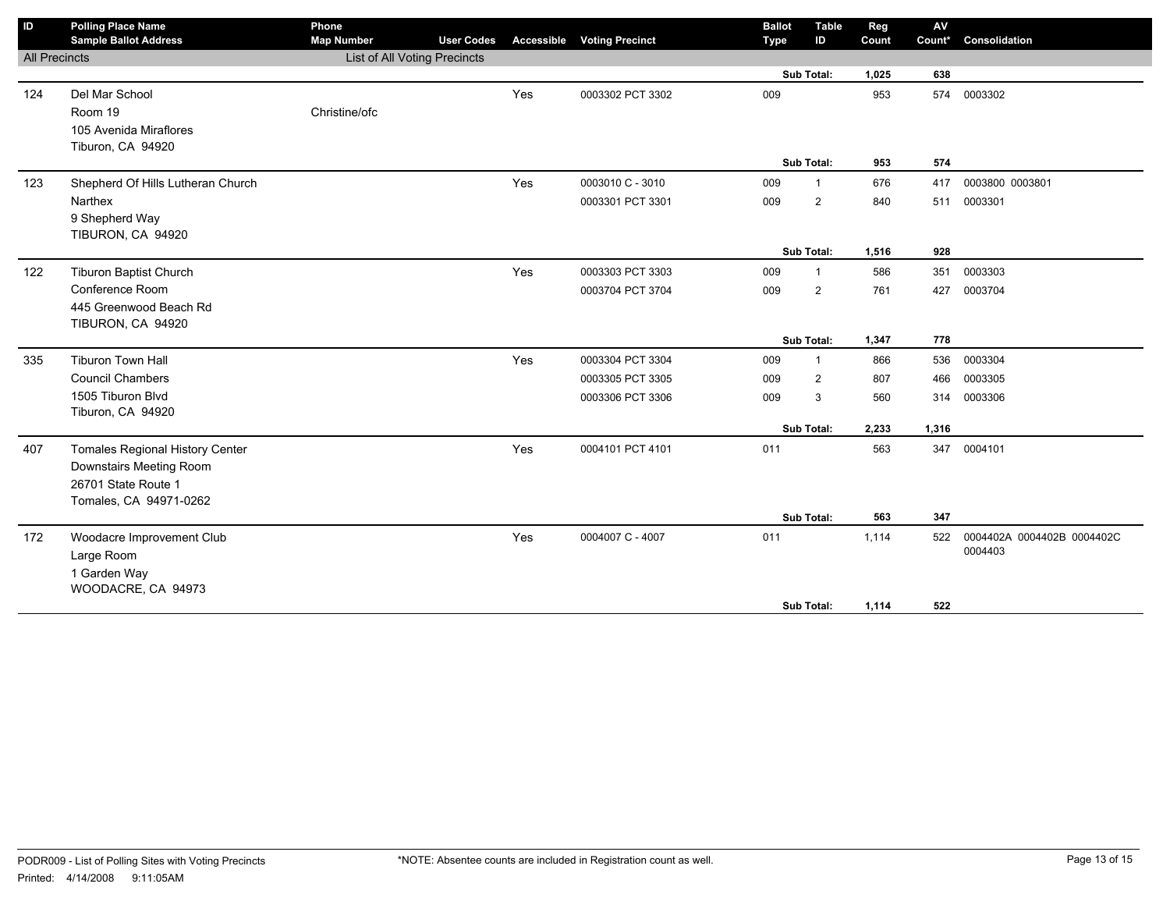| ID                   | <b>Polling Place Name</b>              | Phone                        |                   |                   |                        | <b>Ballot</b> | <b>Table</b>   | Reg   | $\mathsf{AV}$ |                            |
|----------------------|----------------------------------------|------------------------------|-------------------|-------------------|------------------------|---------------|----------------|-------|---------------|----------------------------|
|                      | <b>Sample Ballot Address</b>           | <b>Map Number</b>            | <b>User Codes</b> | <b>Accessible</b> | <b>Voting Precinct</b> | <b>Type</b>   | ID             | Count | Count*        | Consolidation              |
| <b>All Precincts</b> |                                        | List of All Voting Precincts |                   |                   |                        |               |                |       |               |                            |
|                      |                                        |                              |                   |                   |                        |               | Sub Total:     | 1,025 | 638           |                            |
| 124                  | Del Mar School                         |                              |                   | Yes               | 0003302 PCT 3302       | 009           |                | 953   | 574           | 0003302                    |
|                      | Room 19                                | Christine/ofc                |                   |                   |                        |               |                |       |               |                            |
|                      | 105 Avenida Miraflores                 |                              |                   |                   |                        |               |                |       |               |                            |
|                      | Tiburon, CA 94920                      |                              |                   |                   |                        |               |                |       |               |                            |
|                      |                                        |                              |                   |                   |                        |               | Sub Total:     | 953   | 574           |                            |
| 123                  | Shepherd Of Hills Lutheran Church      |                              |                   | Yes               | 0003010 C - 3010       | 009           | $\mathbf{1}$   | 676   | 417           | 0003800 0003801            |
|                      | Narthex                                |                              |                   |                   | 0003301 PCT 3301       | 009           | $\overline{2}$ | 840   | 511           | 0003301                    |
|                      | 9 Shepherd Way                         |                              |                   |                   |                        |               |                |       |               |                            |
|                      | TIBURON, CA 94920                      |                              |                   |                   |                        |               |                |       |               |                            |
|                      |                                        |                              |                   |                   |                        |               | Sub Total:     | 1,516 | 928           |                            |
| 122                  | <b>Tiburon Baptist Church</b>          |                              |                   | Yes               | 0003303 PCT 3303       | 009           | $\overline{1}$ | 586   | 351           | 0003303                    |
|                      | Conference Room                        |                              |                   |                   | 0003704 PCT 3704       | 009           | $\overline{2}$ | 761   | 427           | 0003704                    |
|                      | 445 Greenwood Beach Rd                 |                              |                   |                   |                        |               |                |       |               |                            |
|                      | TIBURON, CA 94920                      |                              |                   |                   |                        |               |                |       |               |                            |
|                      |                                        |                              |                   |                   |                        |               | Sub Total:     | 1,347 | 778           |                            |
| 335                  | <b>Tiburon Town Hall</b>               |                              |                   | Yes               | 0003304 PCT 3304       | 009           | $\mathbf{1}$   | 866   | 536           | 0003304                    |
|                      | <b>Council Chambers</b>                |                              |                   |                   | 0003305 PCT 3305       | 009           | 2              | 807   | 466           | 0003305                    |
|                      | 1505 Tiburon Blvd                      |                              |                   |                   | 0003306 PCT 3306       | 009           | 3              | 560   | 314           | 0003306                    |
|                      | Tiburon, CA 94920                      |                              |                   |                   |                        |               |                |       |               |                            |
|                      |                                        |                              |                   |                   |                        |               | Sub Total:     | 2,233 | 1,316         |                            |
| 407                  | <b>Tomales Regional History Center</b> |                              |                   | Yes               | 0004101 PCT 4101       | 011           |                | 563   | 347           | 0004101                    |
|                      | Downstairs Meeting Room                |                              |                   |                   |                        |               |                |       |               |                            |
|                      | 26701 State Route 1                    |                              |                   |                   |                        |               |                |       |               |                            |
|                      | Tomales, CA 94971-0262                 |                              |                   |                   |                        |               |                |       |               |                            |
|                      |                                        |                              |                   |                   |                        |               | Sub Total:     | 563   | 347           |                            |
| 172                  | Woodacre Improvement Club              |                              |                   | Yes               | 0004007 C - 4007       | 011           |                | 1,114 | 522           | 0004402A 0004402B 0004402C |
|                      | Large Room                             |                              |                   |                   |                        |               |                |       |               | 0004403                    |
|                      | 1 Garden Way                           |                              |                   |                   |                        |               |                |       |               |                            |
|                      | WOODACRE, CA 94973                     |                              |                   |                   |                        |               |                |       |               |                            |
|                      |                                        |                              |                   |                   |                        |               | Sub Total:     | 1,114 | 522           |                            |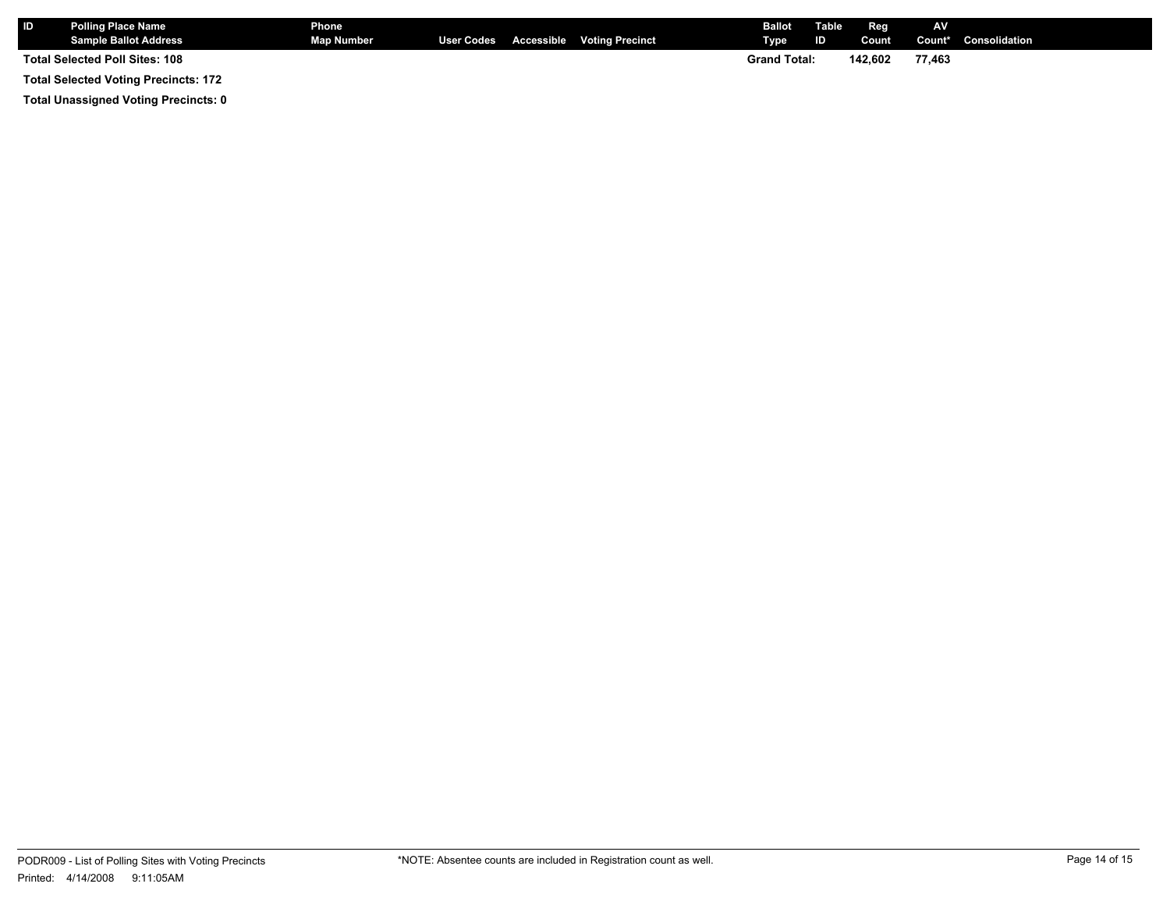| <b>IID</b> | Polling Place Name<br><b>Sample Ballot Address</b> | Phone<br><b>Map Number</b> |  | User Codes Accessible Voting Precinct | <b>Ballot</b><br><b>Type</b> | Table<br><b>ID</b> | Reg<br>Count | AV     | <b>Count*</b> Consolidation |
|------------|----------------------------------------------------|----------------------------|--|---------------------------------------|------------------------------|--------------------|--------------|--------|-----------------------------|
|            | Total Selected Poll Sites: 108                     |                            |  |                                       | <b>Grand Total:</b>          |                    | 142.602      | 77.463 |                             |
|            | <b>Total Selected Voting Precincts: 172</b>        |                            |  |                                       |                              |                    |              |        |                             |

**Total Unassigned Voting Precincts: 0**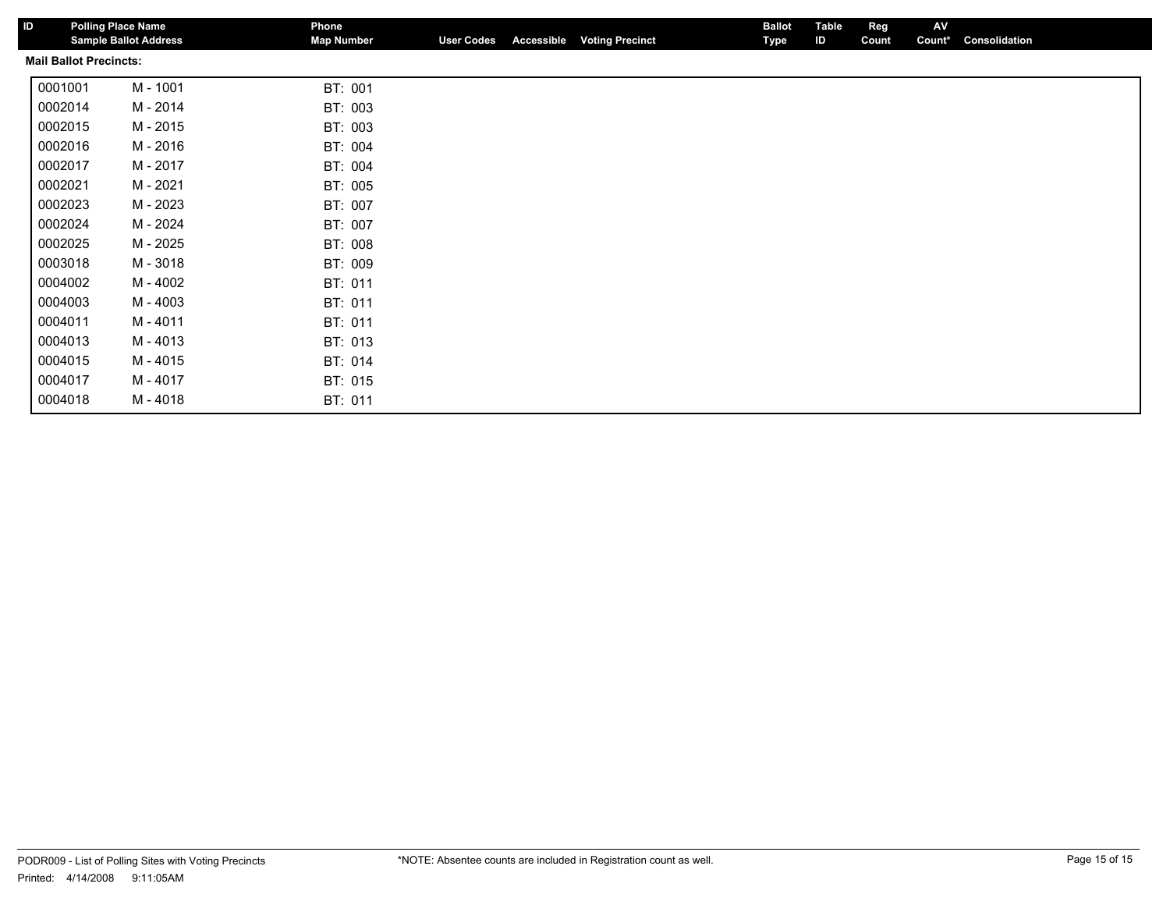| ID | <b>Polling Place Name</b>     | <b>Sample Ballot Address</b> | Phone<br><b>Map Number</b> |         | <b>User Codes</b> | <b>Accessible</b> | <b>Voting Precinct</b> | <b>Ballot</b><br>Type | <b>Table</b><br>ID | Reg<br>Count | AV<br>Count* | Consolidation |  |
|----|-------------------------------|------------------------------|----------------------------|---------|-------------------|-------------------|------------------------|-----------------------|--------------------|--------------|--------------|---------------|--|
|    | <b>Mail Ballot Precincts:</b> |                              |                            |         |                   |                   |                        |                       |                    |              |              |               |  |
|    | 0001001                       | M - 1001                     | BT: 001                    |         |                   |                   |                        |                       |                    |              |              |               |  |
|    | 0002014                       | M - 2014                     |                            | BT: 003 |                   |                   |                        |                       |                    |              |              |               |  |
|    | 0002015                       | M - 2015                     |                            | BT: 003 |                   |                   |                        |                       |                    |              |              |               |  |
|    | 0002016                       | M - 2016                     |                            | BT: 004 |                   |                   |                        |                       |                    |              |              |               |  |
|    | 0002017                       | M - 2017                     |                            | BT: 004 |                   |                   |                        |                       |                    |              |              |               |  |
|    | 0002021                       | M - 2021                     |                            | BT: 005 |                   |                   |                        |                       |                    |              |              |               |  |
|    | 0002023                       | M - 2023                     |                            | BT: 007 |                   |                   |                        |                       |                    |              |              |               |  |
|    | 0002024                       | M - 2024                     |                            | BT: 007 |                   |                   |                        |                       |                    |              |              |               |  |
|    | 0002025                       | M - 2025                     |                            | BT: 008 |                   |                   |                        |                       |                    |              |              |               |  |
|    | 0003018                       | M - 3018                     |                            | BT: 009 |                   |                   |                        |                       |                    |              |              |               |  |
|    | 0004002                       | M - 4002                     | BT: 011                    |         |                   |                   |                        |                       |                    |              |              |               |  |
|    | 0004003                       | M - 4003                     | BT: 011                    |         |                   |                   |                        |                       |                    |              |              |               |  |
|    | 0004011                       | M - 4011                     |                            | BT: 011 |                   |                   |                        |                       |                    |              |              |               |  |
|    | 0004013                       | M - 4013                     |                            | BT: 013 |                   |                   |                        |                       |                    |              |              |               |  |
|    | 0004015                       | M - 4015                     |                            | BT: 014 |                   |                   |                        |                       |                    |              |              |               |  |
|    | 0004017                       | M - 4017                     |                            | BT: 015 |                   |                   |                        |                       |                    |              |              |               |  |
|    | 0004018                       | M - 4018                     |                            | BT: 011 |                   |                   |                        |                       |                    |              |              |               |  |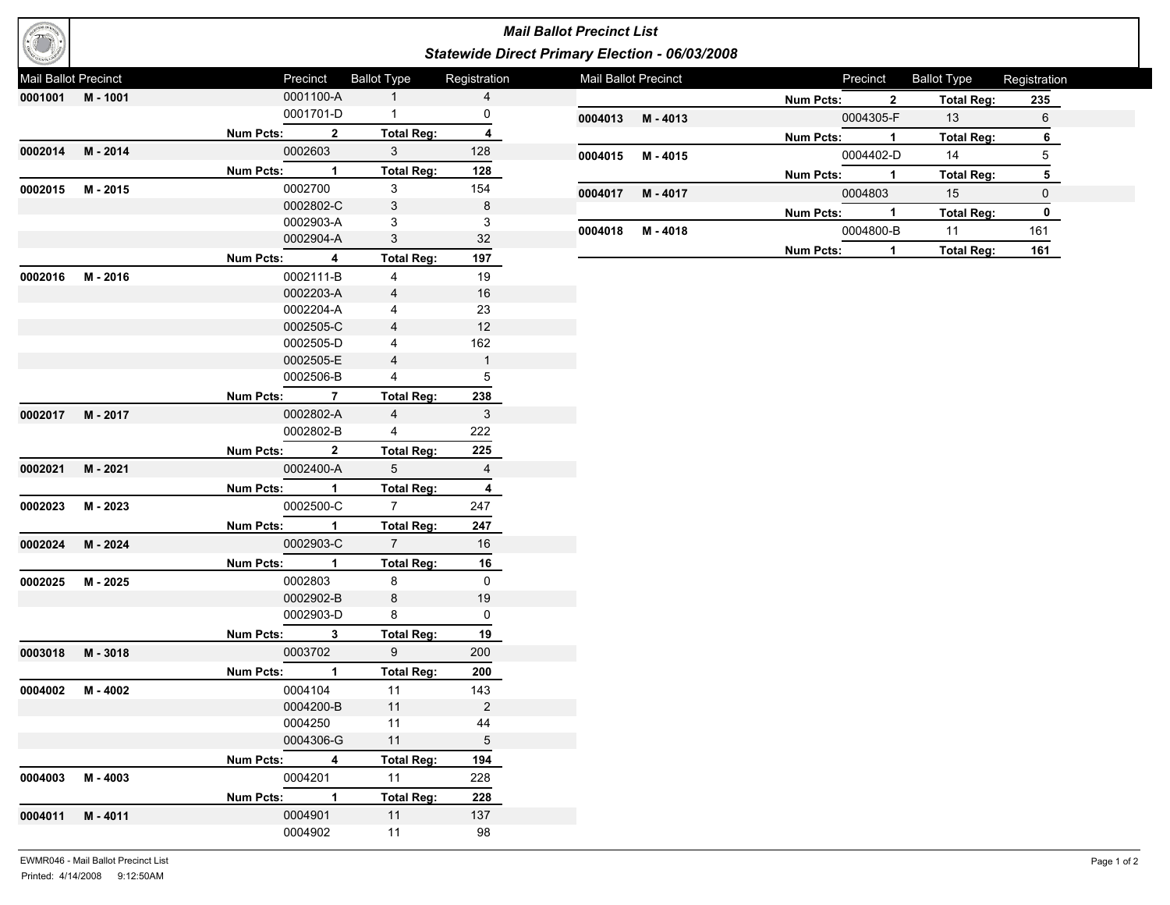

## *Mail Ballot Precinct List Statewide Direct Primary Election - 06/03/2008*

| Mail Ballot Precinct |                |             | Precinct       | <b>Ballot Type</b> | Registration   | Mail Ballot Precinct |                |                  | Precinct                | <b>Ballot Type</b> | Registration    |
|----------------------|----------------|-------------|----------------|--------------------|----------------|----------------------|----------------|------------------|-------------------------|--------------------|-----------------|
|                      | 0001001 M-1001 |             | 0001100-A      | 1                  | $\overline{4}$ |                      |                | <b>Num Pcts:</b> | $\overline{\mathbf{2}}$ | <b>Total Reg:</b>  | <u>235</u>      |
|                      |                |             | 0001701-D      | $\mathbf{1}$       | 0              | 0004013              | M - 4013       |                  | 0004305-F               | 13                 | 6               |
|                      |                | Num Pcts: 2 |                | <b>Total Reg:</b>  | 4              |                      |                | Num Pcts: 1      |                         | <b>Total Reg:</b>  | 6               |
|                      | 0002014 M-2014 |             | 0002603        | 3 <sup>1</sup>     | 128            |                      | 0004015 M-4015 |                  | 0004402-D               | 14                 | $5\phantom{.0}$ |
|                      |                | Num Pcts: 1 |                | <b>Total Reg:</b>  | 128            |                      |                | Num Pcts: 1      |                         | <b>Total Reg:</b>  | ${\bf 5}$       |
|                      | 0002015 M-2015 |             | 0002700        | $\mathbf{3}$       | 154            | 0004017              | M - 4017       |                  | 0004803                 | 15                 | $\mathbf 0$     |
|                      |                |             | 0002802-C      | 3                  | 8              |                      |                | <b>Num Pcts:</b> | $\blacksquare$          | <b>Total Reg:</b>  | $\mathbf 0$     |
|                      |                |             | 0002903-A      | 3                  | 3              | 0004018              | M - 4018       |                  | 0004800-B               | 11                 | 161             |
|                      |                |             | 0002904-A      | 3                  | 32             |                      |                | <b>Num Pcts:</b> | $\mathbf{1}$            | <b>Total Reg:</b>  | 161             |
|                      |                | Num Pcts: 4 |                | <b>Total Reg:</b>  | 197            |                      |                |                  |                         |                    |                 |
|                      | 0002016 M-2016 |             | 0002111-B      | $\overline{4}$     | 19             |                      |                |                  |                         |                    |                 |
|                      |                |             | 0002203-A      | $\overline{4}$     | 16             |                      |                |                  |                         |                    |                 |
|                      |                |             | 0002204-A      | 4                  | 23             |                      |                |                  |                         |                    |                 |
|                      |                |             | 0002505-C      | 4                  | 12             |                      |                |                  |                         |                    |                 |
|                      |                |             | 0002505-D      | 4                  | 162            |                      |                |                  |                         |                    |                 |
|                      |                |             | 0002505-E      | $\overline{4}$     | $\mathbf{1}$   |                      |                |                  |                         |                    |                 |
|                      |                |             | 0002506-B      | $\overline{4}$     | 5              |                      |                |                  |                         |                    |                 |
|                      |                | Num Pcts: 7 |                | <b>Total Reg:</b>  | 238            |                      |                |                  |                         |                    |                 |
|                      | 0002017 M-2017 |             | 0002802-A      | $\overline{4}$     | 3              |                      |                |                  |                         |                    |                 |
|                      |                |             | 0002802-B      | $4\overline{ }$    | 222            |                      |                |                  |                         |                    |                 |
|                      |                | Num Pcts: 2 |                | <b>Total Reg:</b>  | 225            |                      |                |                  |                         |                    |                 |
|                      | 0002021 M-2021 |             | 0002400-A      | 5 <sup>5</sup>     | $\overline{4}$ |                      |                |                  |                         |                    |                 |
|                      |                | Num Pcts: 1 |                | <b>Total Reg:</b>  | 4              |                      |                |                  |                         |                    |                 |
| 0002023              | M - 2023       |             | 0002500-C      | $7 -$              | 247            |                      |                |                  |                         |                    |                 |
|                      |                | Num Pcts: 1 |                | <b>Total Reg:</b>  | 247            |                      |                |                  |                         |                    |                 |
|                      | 0002024 M-2024 |             | 0002903-C      | $7^{\circ}$        | 16             |                      |                |                  |                         |                    |                 |
|                      |                | Num Pcts: 1 |                | <b>Total Reg:</b>  | 16             |                      |                |                  |                         |                    |                 |
|                      | 0002025 M-2025 |             | 0002803        | 8                  | $\mathsf{O}$   |                      |                |                  |                         |                    |                 |
|                      |                |             | 0002902-B      | 8                  | 19             |                      |                |                  |                         |                    |                 |
|                      |                |             | 0002903-D      | 8                  | $\mathsf{O}$   |                      |                |                  |                         |                    |                 |
|                      |                | Num Pcts: 3 |                | <b>Total Reg:</b>  | 19             |                      |                |                  |                         |                    |                 |
|                      | 0003018 M-3018 |             | 0003702        | 9                  | 200            |                      |                |                  |                         |                    |                 |
|                      |                | Num Pcts: 1 |                | <b>Total Reg:</b>  | 200            |                      |                |                  |                         |                    |                 |
|                      | 0004002 M-4002 |             | 0004104        | 11                 | 143            |                      |                |                  |                         |                    |                 |
|                      |                |             | 0004200-B      | 11                 | $\overline{2}$ |                      |                |                  |                         |                    |                 |
|                      |                |             | 0004250        | 11                 | 44             |                      |                |                  |                         |                    |                 |
|                      |                |             | 0004306-G      | 11                 | 5              |                      |                |                  |                         |                    |                 |
|                      |                | Num Pcts:   | $\overline{4}$ | <b>Total Reg:</b>  | 194            |                      |                |                  |                         |                    |                 |
|                      | 0004003 M-4003 |             | 0004201        | 11                 | 228            |                      |                |                  |                         |                    |                 |
|                      |                |             |                |                    |                |                      |                |                  |                         |                    |                 |
|                      |                | Num Pcts: 1 |                | <b>Total Reg:</b>  | 228            |                      |                |                  |                         |                    |                 |
|                      | 0004011 M-4011 |             | 0004901        | 11                 | 137            |                      |                |                  |                         |                    |                 |
|                      |                |             | 0004902        | 11                 | 98             |                      |                |                  |                         |                    |                 |